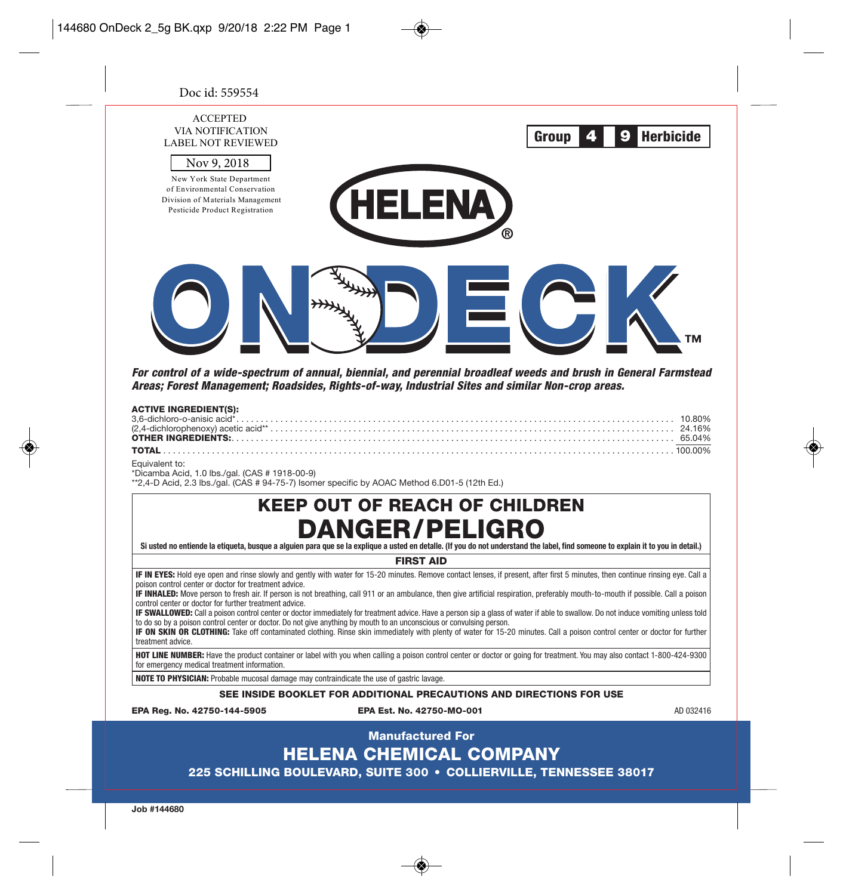| Doc id: 559554                                                                                                                                                                                                      |                                                                                                                                                                                                                                                                                                                                                                                                                                                                                                                                                                                                                                                                                                                                                                                                                                                                                    |                            |
|---------------------------------------------------------------------------------------------------------------------------------------------------------------------------------------------------------------------|------------------------------------------------------------------------------------------------------------------------------------------------------------------------------------------------------------------------------------------------------------------------------------------------------------------------------------------------------------------------------------------------------------------------------------------------------------------------------------------------------------------------------------------------------------------------------------------------------------------------------------------------------------------------------------------------------------------------------------------------------------------------------------------------------------------------------------------------------------------------------------|----------------------------|
| <b>ACCEPTED</b><br>VIA NOTIFICATION<br><b>LABEL NOT REVIEWED</b><br>Nov 9, 2018<br>New York State Department<br>of Environmental Conservation<br>Division of Materials Management<br>Pesticide Product Registration | Group                                                                                                                                                                                                                                                                                                                                                                                                                                                                                                                                                                                                                                                                                                                                                                                                                                                                              | 4<br>9<br><b>Herbicide</b> |
| <b>ACTIVE INGREDIENT(S):</b><br>3,6-dichloro-o-anisic acid*<br><b>OTHER INGREDIENTS:</b><br>TOTAL.<br>Equivalent to:<br>*Dicamba Acid, 1.0 lbs./gal. (CAS # 1918-00-9)                                              | For control of a wide-spectrum of annual, biennial, and perennial broadleaf weeds and brush in General Farmstead<br>Areas; Forest Management; Roadsides, Rights-of-way, Industrial Sites and similar Non-crop areas.                                                                                                                                                                                                                                                                                                                                                                                                                                                                                                                                                                                                                                                               | 10.80%                     |
|                                                                                                                                                                                                                     | **2,4-D Acid, 2.3 lbs./gal. (CAS # 94-75-7) Isomer specific by AOAC Method 6.D01-5 (12th Ed.)<br><b>KEEP OUT OF REACH OF CHILDREN</b><br><b>DANGER/PELIGRO</b>                                                                                                                                                                                                                                                                                                                                                                                                                                                                                                                                                                                                                                                                                                                     |                            |
|                                                                                                                                                                                                                     | Si usted no entiende la etiqueta, busque a alguien para que se la explique a usted en detalle. (If you do not understand the label, find someone to explain it to you in detail.)                                                                                                                                                                                                                                                                                                                                                                                                                                                                                                                                                                                                                                                                                                  |                            |
| poison control center or doctor for treatment advice.<br>control center or doctor for further treatment advice.<br>treatment advice.                                                                                | <b>FIRST AID</b><br>IF IN EYES: Hold eye open and rinse slowly and gently with water for 15-20 minutes. Remove contact lenses, if present, after first 5 minutes, then continue rinsing eye. Call a<br>IF INHALED: Move person to fresh air. If person is not breathing, call 911 or an ambulance, then give artificial respiration, preferably mouth-to-mouth if possible. Call a poison<br>IF SWALLOWED: Call a poison control center or doctor immediately for treatment advice. Have a person sip a glass of water if able to swallow. Do not induce vomiting unless told<br>to do so by a poison control center or doctor. Do not give anything by mouth to an unconscious or convulsing person.<br>IF ON SKIN OR CLOTHING: Take off contaminated clothing. Rinse skin immediately with plenty of water for 15-20 minutes. Call a poison control center or doctor for further |                            |
| for emergency medical treatment information.                                                                                                                                                                        | HOT LINE NUMBER: Have the product container or label with you when calling a poison control center or doctor or going for treatment. You may also contact 1-800-424-9300                                                                                                                                                                                                                                                                                                                                                                                                                                                                                                                                                                                                                                                                                                           |                            |
| <b>NOTE TO PHYSICIAN:</b> Probable mucosal damage may contraindicate the use of gastric lavage.                                                                                                                     |                                                                                                                                                                                                                                                                                                                                                                                                                                                                                                                                                                                                                                                                                                                                                                                                                                                                                    |                            |
|                                                                                                                                                                                                                     | SEE INSIDE BOOKLET FOR ADDITIONAL PRECAUTIONS AND DIRECTIONS FOR USE                                                                                                                                                                                                                                                                                                                                                                                                                                                                                                                                                                                                                                                                                                                                                                                                               |                            |
| EPA Rea. No. 42750-144-5905                                                                                                                                                                                         | EPA Est. No. 42750-MO-001                                                                                                                                                                                                                                                                                                                                                                                                                                                                                                                                                                                                                                                                                                                                                                                                                                                          | AD 032416                  |
|                                                                                                                                                                                                                     | <b>Manufactured For</b>                                                                                                                                                                                                                                                                                                                                                                                                                                                                                                                                                                                                                                                                                                                                                                                                                                                            |                            |

# HELENA CHEMICAL COMPANY

225 SCHILLING BOULEVARD, SUITE 300 • COLLIERVILLE, TENNESSEE 38017

**Job #144680**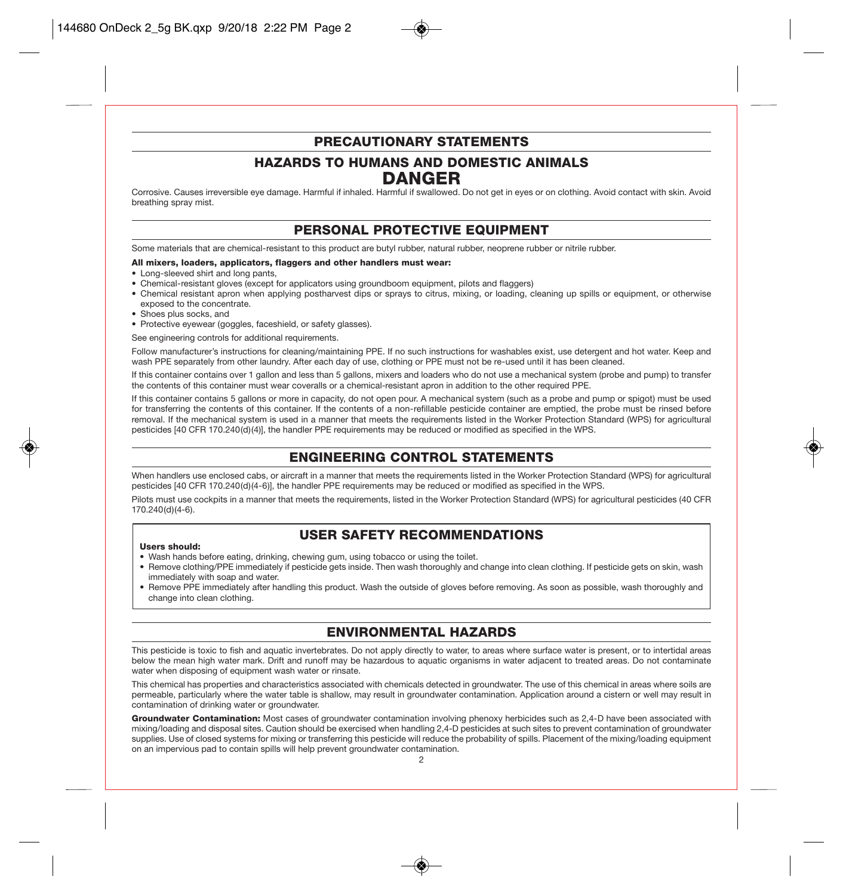### PRECAUTIONARY STATEMENTS

### HAZARDS TO HUMANS AND DOMESTIC ANIMALS DANGER

Corrosive. Causes irreversible eye damage. Harmful if inhaled. Harmful if swallowed. Do not get in eyes or on clothing. Avoid contact with skin. Avoid breathing spray mist.

### PERSONAL PROTECTIVE EQUIPMENT

Some materials that are chemical-resistant to this product are butyl rubber, natural rubber, neoprene rubber or nitrile rubber.

### All mixers, loaders, applicators, flaggers and other handlers must wear:

- Long-sleeved shirt and long pants,
- Chemical-resistant gloves (except for applicators using groundboom equipment, pilots and flaggers)
- Chemical resistant apron when applying postharvest dips or sprays to citrus, mixing, or loading, cleaning up spills or equipment, or otherwise exposed to the concentrate.
- Shoes plus socks, and
- Protective eyewear (goggles, faceshield, or safety glasses).

See engineering controls for additional requirements.

Follow manufacturer's instructions for cleaning/maintaining PPE. If no such instructions for washables exist, use detergent and hot water. Keep and wash PPE separately from other laundry. After each day of use, clothing or PPE must not be re-used until it has been cleaned.

If this container contains over 1 gallon and less than 5 gallons, mixers and loaders who do not use a mechanical system (probe and pump) to transfer the contents of this container must wear coveralls or a chemical-resistant apron in addition to the other required PPE.

If this container contains 5 gallons or more in capacity, do not open pour. A mechanical system (such as a probe and pump or spigot) must be used for transferring the contents of this container. If the contents of a non-refillable pesticide container are emptied, the probe must be rinsed before removal. If the mechanical system is used in a manner that meets the requirements listed in the Worker Protection Standard (WPS) for agricultural pesticides [40 CFR 170.240(d)(4)], the handler PPE requirements may be reduced or modified as specified in the WPS.

### ENGINEERING CONTROL STATEMENTS

When handlers use enclosed cabs, or aircraft in a manner that meets the requirements listed in the Worker Protection Standard (WPS) for agricultural pesticides [40 CFR 170.240(d)(4-6)], the handler PPE requirements may be reduced or modified as specified in the WPS.

Pilots must use cockpits in a manner that meets the requirements, listed in the Worker Protection Standard (WPS) for agricultural pesticides (40 CFR 170.240(d)(4-6).

### USER SAFETY RECOMMENDATIONS

#### Users should:

- Wash hands before eating, drinking, chewing gum, using tobacco or using the toilet.
- Remove clothing/PPE immediately if pesticide gets inside. Then wash thoroughly and change into clean clothing. If pesticide gets on skin, wash immediately with soap and water.
- Remove PPE immediately after handling this product. Wash the outside of gloves before removing. As soon as possible, wash thoroughly and change into clean clothing.

### ENVIRONMENTAL HAZARDS

This pesticide is toxic to fish and aquatic invertebrates. Do not apply directly to water, to areas where surface water is present, or to intertidal areas below the mean high water mark. Drift and runoff may be hazardous to aquatic organisms in water adjacent to treated areas. Do not contaminate water when disposing of equipment wash water or rinsate.

This chemical has properties and characteristics associated with chemicals detected in groundwater. The use of this chemical in areas where soils are permeable, particularly where the water table is shallow, may result in groundwater contamination. Application around a cistern or well may result in contamination of drinking water or groundwater.

Groundwater Contamination: Most cases of groundwater contamination involving phenoxy herbicides such as 2,4-D have been associated with mixing/loading and disposal sites. Caution should be exercised when handling 2,4-D pesticides at such sites to prevent contamination of groundwater supplies. Use of closed systems for mixing or transferring this pesticide will reduce the probability of spills. Placement of the mixing/loading equipment on an impervious pad to contain spills will help prevent groundwater contamination.

 $\mathfrak{p}$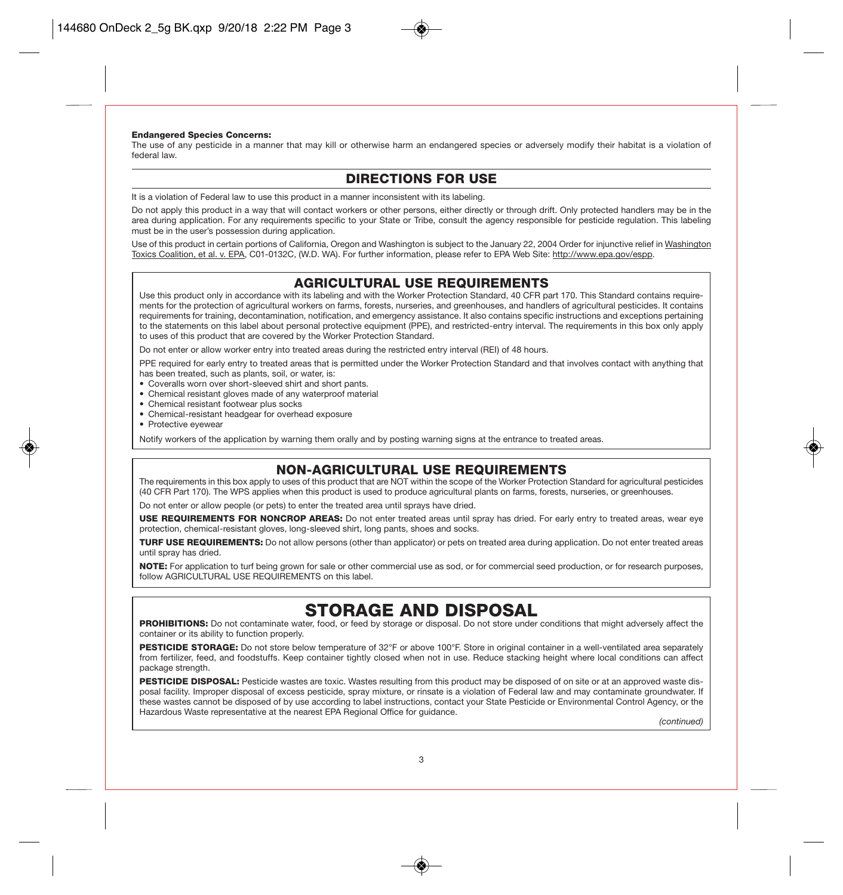### Endangered Species Concerns:

The use of any pesticide in a manner that may kill or otherwise harm an endangered species or adversely modify their habitat is a violation of federal law.

### DIRECTIONS FOR USE

It is a violation of Federal law to use this product in a manner inconsistent with its labeling.

Do not apply this product in a way that will contact workers or other persons, either directly or through drift. Only protected handlers may be in the area during application. For any requirements specific to your State or Tribe, consult the agency responsible for pesticide regulation. This labeling must be in the user's possession during application.

Use of this product in certain portions of California, Oregon and Washington is subject to the January 22, 2004 Order for injunctive relief in Washington Toxics Coalition, et al. v. EPA, C01-0132C, (W.D. WA). For further information, please refer to EPA Web Site: http://www.epa.gov/espp.

### AGRICULTURAL USE REQUIREMENTS

Use this product only in accordance with its labeling and with the Worker Protection Standard, 40 CFR part 170. This Standard contains requirements for the protection of agricultural workers on farms, forests, nurseries, and greenhouses, and handlers of agricultural pesticides. It contains requirements for training, decontamination, notification, and emergency assistance. It also contains specific instructions and exceptions pertaining to the statements on this label about personal protective equipment (PPE), and restricted-entry interval. The requirements in this box only apply to uses of this product that are covered by the Worker Protection Standard.

Do not enter or allow worker entry into treated areas during the restricted entry interval (REI) of 48 hours.

PPE required for early entry to treated areas that is permitted under the Worker Protection Standard and that involves contact with anything that has been treated, such as plants, soil, or water, is:

- Coveralls worn over short-sleeved shirt and short pants.
- Chemical resistant gloves made of any waterproof material
- Chemical resistant footwear plus socks
- Chemical-resistant headgear for overhead exposure
- Protective eyewear

Notify workers of the application by warning them orally and by posting warning signs at the entrance to treated areas.

### NON-AGRICULTURAL USE REQUIREMENTS

The requirements in this box apply to uses of this product that are NOT within the scope of the Worker Protection Standard for agricultural pesticides (40 CFR Part 170). The WPS applies when this product is used to produce agricultural plants on farms, forests, nurseries, or greenhouses.

Do not enter or allow people (or pets) to enter the treated area until sprays have dried.

USE REQUIREMENTS FOR NONCROP AREAS: Do not enter treated areas until spray has dried. For early entry to treated areas, wear eye protection, chemical-resistant gloves, long-sleeved shirt, long pants, shoes and socks.

TURF USE REQUIREMENTS: Do not allow persons (other than applicator) or pets on treated area during application. Do not enter treated areas until spray has dried.

NOTE: For application to turf being grown for sale or other commercial use as sod, or for commercial seed production, or for research purposes, follow AGRICULTURAL USE REQUIREMENTS on this label.

**STORAGE AND DISPOSAL**<br>**PROHIBITIONS:** Do not contaminate water, food, or feed by storage or disposal. Do not store under conditions that might adversely affect the container or its ability to function properly.

PESTICIDE STORAGE: Do not store below temperature of 32°F or above 100°F. Store in original container in a well-ventilated area separately from fertilizer, feed, and foodstuffs. Keep container tightly closed when not in use. Reduce stacking height where local conditions can affect package strength.

PESTICIDE DISPOSAL: Pesticide wastes are toxic. Wastes resulting from this product may be disposed of on site or at an approved waste disposal facility. Improper disposal of excess pesticide, spray mixture, or rinsate is a violation of Federal law and may contaminate groundwater. If these wastes cannot be disposed of by use according to label instructions, contact your State Pesticide or Environmental Control Agency, or the Hazardous Waste representative at the nearest EPA Regional Office for guidance.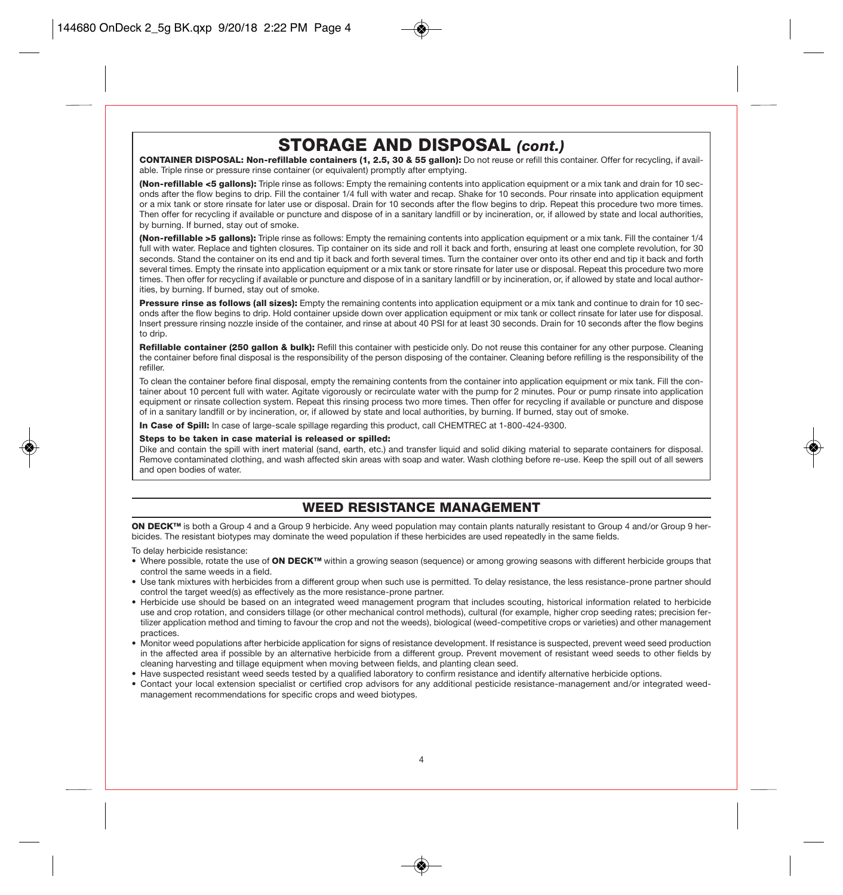## STORAGE AND DISPOSAL *(cont.)*

CONTAINER DISPOSAL: Non-refillable containers (1, 2.5, 30 & 55 gallon): Do not reuse or refill this container. Offer for recycling, if available. Triple rinse or pressure rinse container (or equivalent) promptly after emptying.

(Non-refillable <5 gallons): Triple rinse as follows: Empty the remaining contents into application equipment or a mix tank and drain for 10 seconds after the flow begins to drip. Fill the container 1/4 full with water and recap. Shake for 10 seconds. Pour rinsate into application equipment or a mix tank or store rinsate for later use or disposal. Drain for 10 seconds after the flow begins to drip. Repeat this procedure two more times. Then offer for recycling if available or puncture and dispose of in a sanitary landfill or by incineration, or, if allowed by state and local authorities, by burning. If burned, stay out of smoke.

(Non-refillable >5 gallons): Triple rinse as follows: Empty the remaining contents into application equipment or a mix tank. Fill the container 1/4 full with water. Replace and tighten closures. Tip container on its side and roll it back and forth, ensuring at least one complete revolution, for 30 seconds. Stand the container on its end and tip it back and forth several times. Turn the container over onto its other end and tip it back and forth several times. Empty the rinsate into application equipment or a mix tank or store rinsate for later use or disposal. Repeat this procedure two more times. Then offer for recycling if available or puncture and dispose of in a sanitary landfill or by incineration, or, if allowed by state and local authorities, by burning. If burned, stay out of smoke.

Pressure rinse as follows (all sizes): Empty the remaining contents into application equipment or a mix tank and continue to drain for 10 seconds after the flow begins to drip. Hold container upside down over application equipment or mix tank or collect rinsate for later use for disposal. Insert pressure rinsing nozzle inside of the container, and rinse at about 40 PSI for at least 30 seconds. Drain for 10 seconds after the flow begins to drip.

Refillable container (250 gallon & bulk): Refill this container with pesticide only. Do not reuse this container for any other purpose. Cleaning the container before final disposal is the responsibility of the person disposing of the container. Cleaning before refilling is the responsibility of the refiller.

To clean the container before final disposal, empty the remaining contents from the container into application equipment or mix tank. Fill the container about 10 percent full with water. Agitate vigorously or recirculate water with the pump for 2 minutes. Pour or pump rinsate into application equipment or rinsate collection system. Repeat this rinsing process two more times. Then offer for recycling if available or puncture and dispose of in a sanitary landfill or by incineration, or, if allowed by state and local authorities, by burning. If burned, stay out of smoke.

In Case of Spill: In case of large-scale spillage regarding this product, call CHEMTREC at 1-800-424-9300.

#### Steps to be taken in case material is released or spilled:

Dike and contain the spill with inert material (sand, earth, etc.) and transfer liquid and solid diking material to separate containers for disposal. Remove contaminated clothing, and wash affected skin areas with soap and water. Wash clothing before re-use. Keep the spill out of all sewers and open bodies of water.

### WEED RESISTANCE MANAGEMENT

ON DECK<sup>™</sup> is both a Group 4 and a Group 9 herbicide. Any weed population may contain plants naturally resistant to Group 4 and/or Group 9 herbicides. The resistant biotypes may dominate the weed population if these herbicides are used repeatedly in the same fields.

To delay herbicide resistance:

- Where possible, rotate the use of ON DECK™ within a growing season (sequence) or among growing seasons with different herbicide groups that control the same weeds in a field.
- Use tank mixtures with herbicides from a different group when such use is permitted. To delay resistance, the less resistance-prone partner should control the target weed(s) as effectively as the more resistance-prone partner.
- Herbicide use should be based on an integrated weed management program that includes scouting, historical information related to herbicide use and crop rotation, and considers tillage (or other mechanical control methods), cultural (for example, higher crop seeding rates; precision fertilizer application method and timing to favour the crop and not the weeds), biological (weed-competitive crops or varieties) and other management practices.
- Monitor weed populations after herbicide application for signs of resistance development. If resistance is suspected, prevent weed seed production in the affected area if possible by an alternative herbicide from a different group. Prevent movement of resistant weed seeds to other fields by cleaning harvesting and tillage equipment when moving between fields, and planting clean seed.
- Have suspected resistant weed seeds tested by a qualified laboratory to confirm resistance and identify alternative herbicide options.
- Contact your local extension specialist or certified crop advisors for any additional pesticide resistance-management and/or integrated weedmanagement recommendations for specific crops and weed biotypes.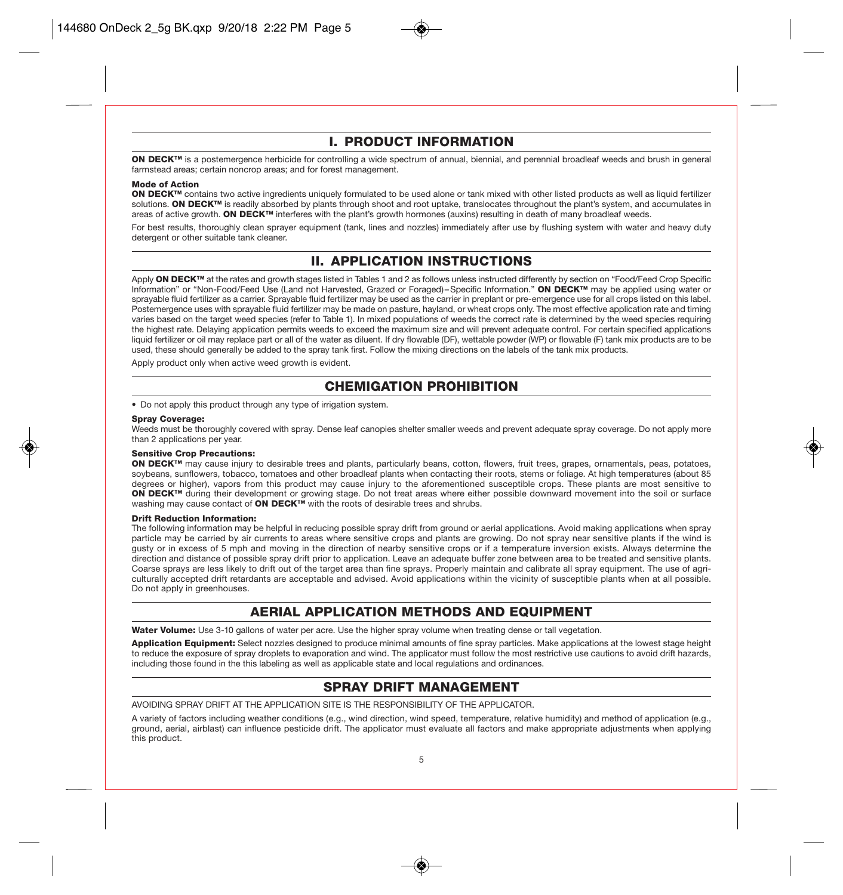### I. PRODUCT INFORMATION

ON DECK™ is a postemergence herbicide for controlling a wide spectrum of annual, biennial, and perennial broadleaf weeds and brush in general farmstead areas; certain noncrop areas; and for forest management.

#### Mode of Action

ON DECK™ contains two active ingredients uniquely formulated to be used alone or tank mixed with other listed products as well as liquid fertilizer solutions. ON DECK™ is readily absorbed by plants through shoot and root uptake, translocates throughout the plant's system, and accumulates in areas of active growth. ON DECK™ interferes with the plant's growth hormones (auxins) resulting in death of many broadleaf weeds.

For best results, thoroughly clean sprayer equipment (tank, lines and nozzles) immediately after use by flushing system with water and heavy duty detergent or other suitable tank cleaner.

### II. APPLICATION INSTRUCTIONS

Apply ON DECK™ at the rates and growth stages listed in Tables 1 and 2 as follows unless instructed differently by section on "Food/Feed Crop Specific Information" or "Non-Food/Feed Use (Land not Harvested, Grazed or Foraged)–Specific Information." ON DECK™ may be applied using water or sprayable fluid fertilizer as a carrier. Sprayable fluid fertilizer may be used as the carrier in preplant or pre-emergence use for all crops listed on this label. Postemergence uses with sprayable fluid fertilizer may be made on pasture, hayland, or wheat crops only. The most effective application rate and timing varies based on the target weed species (refer to Table 1). In mixed populations of weeds the correct rate is determined by the weed species requiring the highest rate. Delaying application permits weeds to exceed the maximum size and will prevent adequate control. For certain specified applications liquid fertilizer or oil may replace part or all of the water as diluent. If dry flowable (DF), wettable powder (WP) or flowable (F) tank mix products are to be used, these should generally be added to the spray tank first. Follow the mixing directions on the labels of the tank mix products.

Apply product only when active weed growth is evident.

### CHEMIGATION PROHIBITION

• Do not apply this product through any type of irrigation system.

#### Spray Coverage:

Weeds must be thoroughly covered with spray. Dense leaf canopies shelter smaller weeds and prevent adequate spray coverage. Do not apply more than 2 applications per year.

#### Sensitive Crop Precautions:

ON DECK<sup>™</sup> may cause injury to desirable trees and plants, particularly beans, cotton, flowers, fruit trees, grapes, ornamentals, peas, potatoes, soybeans, sunflowers, tobacco, tomatoes and other broadleaf plants when contacting their roots, stems or foliage. At high temperatures (about 85 degrees or higher), vapors from this product may cause injury to the aforementioned susceptible crops. These plants are most sensitive to ON DECK<sup>™</sup> during their development or growing stage. Do not treat areas where either possible downward movement into the soil or surface washing may cause contact of ON DECK<sup>™</sup> with the roots of desirable trees and shrubs.

#### Drift Reduction Information:

The following information may be helpful in reducing possible spray drift from ground or aerial applications. Avoid making applications when spray particle may be carried by air currents to areas where sensitive crops and plants are growing. Do not spray near sensitive plants if the wind is gusty or in excess of 5 mph and moving in the direction of nearby sensitive crops or if a temperature inversion exists. Always determine the direction and distance of possible spray drift prior to application. Leave an adequate buffer zone between area to be treated and sensitive plants. Coarse sprays are less likely to drift out of the target area than fine sprays. Properly maintain and calibrate all spray equipment. The use of agriculturally accepted drift retardants are acceptable and advised. Avoid applications within the vicinity of susceptible plants when at all possible. Do not apply in greenhouses.

### AERIAL APPLICATION METHODS AND EQUIPMENT

Water Volume: Use 3-10 gallons of water per acre. Use the higher spray volume when treating dense or tall vegetation.

Application Equipment: Select nozzles designed to produce minimal amounts of fine spray particles. Make applications at the lowest stage height to reduce the exposure of spray droplets to evaporation and wind. The applicator must follow the most restrictive use cautions to avoid drift hazards, including those found in the this labeling as well as applicable state and local regulations and ordinances.

### SPRAY DRIFT MANAGEMENT

AVOIDING SPRAY DRIFT AT THE APPLICATION SITE IS THE RESPONSIBILITY OF THE APPLICATOR.

A variety of factors including weather conditions (e.g., wind direction, wind speed, temperature, relative humidity) and method of application (e.g., ground, aerial, airblast) can influence pesticide drift. The applicator must evaluate all factors and make appropriate adjustments when applying this product.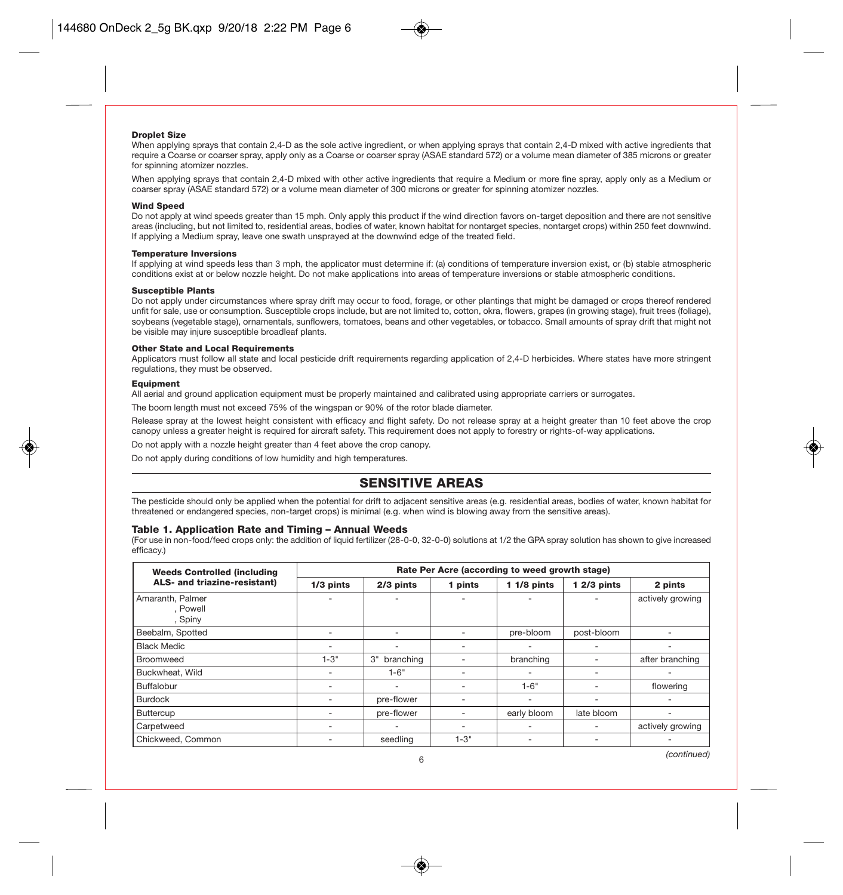

When applying sprays that contain 2,4-D as the sole active ingredient, or when applying sprays that contain 2,4-D mixed with active ingredients that require a Coarse or coarser spray, apply only as a Coarse or coarser spray (ASAE standard 572) or a volume mean diameter of 385 microns or greater for spinning atomizer nozzles.

When applying sprays that contain 2,4-D mixed with other active ingredients that require a Medium or more fine spray, apply only as a Medium or coarser spray (ASAE standard 572) or a volume mean diameter of 300 microns or greater for spinning atomizer nozzles.

#### Wind Speed

Do not apply at wind speeds greater than 15 mph. Only apply this product if the wind direction favors on-target deposition and there are not sensitive areas (including, but not limited to, residential areas, bodies of water, known habitat for nontarget species, nontarget crops) within 250 feet downwind. If applying a Medium spray, leave one swath unsprayed at the downwind edge of the treated field.

### Temperature Inversions

If applying at wind speeds less than 3 mph, the applicator must determine if: (a) conditions of temperature inversion exist, or (b) stable atmospheric conditions exist at or below nozzle height. Do not make applications into areas of temperature inversions or stable atmospheric conditions.

#### Susceptible Plants

Do not apply under circumstances where spray drift may occur to food, forage, or other plantings that might be damaged or crops thereof rendered unfit for sale, use or consumption. Susceptible crops include, but are not limited to, cotton, okra, flowers, grapes (in growing stage), fruit trees (foliage), soybeans (vegetable stage), ornamentals, sunflowers, tomatoes, beans and other vegetables, or tobacco. Small amounts of spray drift that might not be visible may injure susceptible broadleaf plants.

### Other State and Local Requirements

Applicators must follow all state and local pesticide drift requirements regarding application of 2,4-D herbicides. Where states have more stringent regulations, they must be observed.

### Equipment

All aerial and ground application equipment must be properly maintained and calibrated using appropriate carriers or surrogates.

The boom length must not exceed 75% of the wingspan or 90% of the rotor blade diameter.

Release spray at the lowest height consistent with efficacy and flight safety. Do not release spray at a height greater than 10 feet above the crop canopy unless a greater height is required for aircraft safety. This requirement does not apply to forestry or rights-of-way applications.

Do not apply with a nozzle height greater than 4 feet above the crop canopy.

Do not apply during conditions of low humidity and high temperatures.

### SENSITIVE AREAS

The pesticide should only be applied when the potential for drift to adjacent sensitive areas (e.g. residential areas, bodies of water, known habitat for threatened or endangered species, non-target crops) is minimal (e.g. when wind is blowing away from the sensitive areas).

#### Table 1. Application Rate and Timing – Annual Weeds

(For use in non-food/feed crops only: the addition of liquid fertilizer (28-0-0, 32-0-0) solutions at 1/2 the GPA spray solution has shown to give increased efficacy.)

| <b>Weeds Controlled (including</b>      | Rate Per Acre (according to weed growth stage) |                 |          |              |              |                  |  |
|-----------------------------------------|------------------------------------------------|-----------------|----------|--------------|--------------|------------------|--|
| ALS- and triazine-resistant)            | 1/3 pints                                      | 2/3 pints       | 1 pints  | $11/8$ pints | $12/3$ pints | 2 pints          |  |
| Amaranth, Palmer<br>. Powell<br>, Spiny |                                                |                 |          |              |              | actively growing |  |
| Beebalm, Spotted                        |                                                |                 |          | pre-bloom    | post-bloom   |                  |  |
| <b>Black Medic</b>                      | $\overline{\phantom{a}}$                       | -               |          | ۰            | ۰            |                  |  |
| Broomweed                               | $1 - 3"$                                       | З"<br>branching |          | branching    |              | after branching  |  |
| Buckwheat, Wild                         |                                                | $1 - 6"$        | ۰        | ۰            |              |                  |  |
| Buffalobur                              |                                                | ٠               |          | $1 - 6"$     |              | flowering        |  |
| <b>Burdock</b>                          |                                                | pre-flower      |          | ۰            |              |                  |  |
| Buttercup                               |                                                | pre-flower      |          | early bloom  | late bloom   |                  |  |
| Carpetweed                              |                                                | -               |          |              |              | actively growing |  |
| Chickweed, Common                       |                                                | seedling        | $1 - 3"$ | ۰            | ٠            |                  |  |
|                                         |                                                |                 |          |              |              | (continued)      |  |

6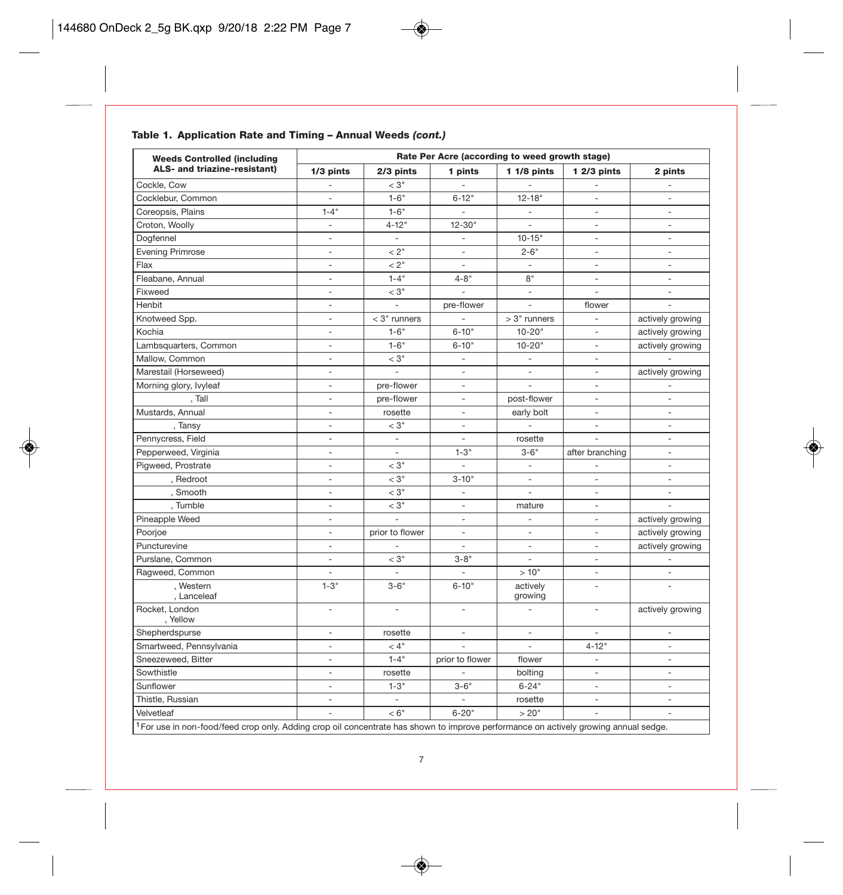### Table 1. Application Rate and Timing – Annual Weeds *(cont.)*

| <b>Weeds Controlled (including</b>                                                                                                              | Rate Per Acre (according to weed growth stage) |                          |                          |                          |                          |                          |  |
|-------------------------------------------------------------------------------------------------------------------------------------------------|------------------------------------------------|--------------------------|--------------------------|--------------------------|--------------------------|--------------------------|--|
| ALS- and triazine-resistant)                                                                                                                    | $1/3$ pints                                    | 2/3 pints                | 1 pints                  | $11/8$ pints             | $12/3$ pints             | 2 pints                  |  |
| Cockle, Cow                                                                                                                                     | ÷,                                             | $<$ 3"                   | $\sim$                   | $\overline{\phantom{a}}$ | $\overline{a}$           | $\mathcal{L}$            |  |
| Cocklebur, Common                                                                                                                               | $\overline{\phantom{a}}$                       | $1 - 6"$                 | $6 - 12"$                | $12 - 18"$               | $\overline{a}$           | $\overline{\phantom{a}}$ |  |
| Coreopsis, Plains                                                                                                                               | $1 - 4$ "                                      | $1 - 6"$                 | $\blacksquare$           | $\overline{\phantom{a}}$ | $\overline{\phantom{a}}$ | $\overline{\phantom{a}}$ |  |
| Croton, Woolly                                                                                                                                  | $\overline{\phantom{a}}$                       | $4 - 12"$                | $12 - 30"$               | $\omega$                 | $\sim$                   | $\overline{a}$           |  |
| Dogfennel                                                                                                                                       | ÷,                                             | $\overline{\phantom{a}}$ |                          | $10 - 15"$               | $\sim$                   | $\overline{a}$           |  |
| <b>Evening Primrose</b>                                                                                                                         | $\bar{a}$                                      | < 2"                     | $\overline{\phantom{a}}$ | $2 - 6"$                 | $\sim$                   | $\overline{\phantom{a}}$ |  |
| Flax                                                                                                                                            | $\bar{a}$                                      | < 2"                     | $\sim$                   | $\sim$                   | $\sim$                   | $\sim$                   |  |
| Fleabane, Annual                                                                                                                                | ÷,                                             | $1 - 4"$                 | $4 - 8"$                 | 8"                       | $\overline{\phantom{a}}$ | $\overline{\phantom{a}}$ |  |
| Fixweed                                                                                                                                         | $\frac{1}{2}$                                  | $<$ 3"                   | $\overline{\phantom{a}}$ | $\mathcal{L}$            | $\bar{\phantom{a}}$      | $\equiv$                 |  |
| Henbit                                                                                                                                          | ÷,                                             | $\blacksquare$           | pre-flower               | $\overline{\phantom{a}}$ | flower                   | ÷,                       |  |
| Knotweed Spp.                                                                                                                                   | $\overline{\phantom{a}}$                       | $<$ 3" runners           | $\overline{\phantom{a}}$ | $>3"$ runners            | ÷                        | actively growing         |  |
| Kochia                                                                                                                                          | $\overline{a}$                                 | $1 - 6"$                 | $6 - 10"$                | $10 - 20"$               | $\sim$                   | actively growing         |  |
| Lambsquarters, Common                                                                                                                           | $\overline{\phantom{a}}$                       | $1 - 6"$                 | $6 - 10"$                | $10 - 20"$               | $\sim$                   | actively growing         |  |
| Mallow, Common                                                                                                                                  | ÷,                                             | $<$ 3"                   | $\overline{\phantom{a}}$ | $\blacksquare$           | $\overline{\phantom{a}}$ |                          |  |
| Marestail (Horseweed)                                                                                                                           | ÷,                                             | $\frac{1}{2}$            | $\overline{\phantom{a}}$ | $\bar{a}$                | $\overline{a}$           | actively growing         |  |
| Morning glory, Ivyleaf                                                                                                                          | $\overline{\phantom{a}}$                       | pre-flower               | $\overline{\phantom{a}}$ | $\overline{\phantom{a}}$ | $\overline{\phantom{a}}$ | $\overline{\phantom{a}}$ |  |
| , Tall                                                                                                                                          | $\overline{\phantom{a}}$                       | pre-flower               | $\overline{a}$           | post-flower              | $\sim$                   | $\overline{\phantom{a}}$ |  |
| Mustards, Annual                                                                                                                                | $\overline{\phantom{a}}$                       | rosette                  | $\overline{\phantom{a}}$ | early bolt               | $\overline{\phantom{a}}$ | $\overline{\phantom{a}}$ |  |
| , Tansy                                                                                                                                         | $\overline{\phantom{a}}$                       | $<$ 3"                   | $\mathcal{L}$            | $\overline{\phantom{a}}$ | $\sim$                   | $\mathbf{r}$             |  |
| Pennycress, Field                                                                                                                               | ÷,                                             | $\overline{\phantom{a}}$ | $\overline{\phantom{a}}$ | rosette                  |                          | $\overline{a}$           |  |
| Pepperweed, Virginia                                                                                                                            | $\overline{\phantom{a}}$                       | $\overline{\phantom{a}}$ | $1 - 3"$                 | $3 - 6"$                 | after branching          | $\overline{\phantom{a}}$ |  |
| Pigweed, Prostrate                                                                                                                              | $\overline{a}$                                 | $<$ 3"                   | $\overline{a}$           | $\overline{\phantom{a}}$ |                          | $\overline{\phantom{a}}$ |  |
| , Redroot                                                                                                                                       | $\overline{\phantom{a}}$                       | $<$ 3"                   | $3 - 10"$                | $\overline{\phantom{a}}$ | $\overline{\phantom{a}}$ | $\overline{\phantom{a}}$ |  |
| , Smooth                                                                                                                                        | $\overline{\phantom{a}}$                       | $<$ 3"                   | $\overline{\phantom{a}}$ | $\bar{a}$                | $\sim$                   | $\overline{\phantom{a}}$ |  |
| , Tumble                                                                                                                                        | $\overline{a}$                                 | $<$ 3"                   | $\overline{\phantom{a}}$ | mature                   | ÷                        |                          |  |
| Pineapple Weed                                                                                                                                  | $\overline{\phantom{a}}$                       | $\frac{1}{2}$            | $\overline{\phantom{a}}$ | $\overline{\phantom{a}}$ | $\sim$                   | actively growing         |  |
| Poorjoe                                                                                                                                         | $\overline{\phantom{a}}$                       | prior to flower          | $\overline{\phantom{a}}$ | $\sim$                   | $\sim$                   | actively growing         |  |
| Puncturevine                                                                                                                                    | ÷,                                             |                          | $\overline{\phantom{a}}$ | $\overline{\phantom{a}}$ | $\overline{\phantom{a}}$ | actively growing         |  |
| Purslane, Common                                                                                                                                | $\overline{a}$                                 | $<$ 3"                   | $3 - 8"$                 | $\overline{\phantom{a}}$ | $\sim$                   | $\Box$                   |  |
| Ragweed, Common                                                                                                                                 | ÷,                                             | ÷,                       | $\overline{\phantom{a}}$ | >10"                     | $\sim$                   | $\overline{\phantom{a}}$ |  |
| . Western<br>, Lanceleaf                                                                                                                        | $1 - 3"$                                       | $3 - 6"$                 | $6 - 10"$                | actively<br>growing      | $\sim$                   |                          |  |
| Rocket, London<br>, Yellow                                                                                                                      | $\overline{a}$                                 | $\overline{a}$           | $\overline{a}$           | $\sim$                   | $\sim$                   | actively growing         |  |
| Shepherdspurse                                                                                                                                  | ÷,                                             | rosette                  | $\overline{\phantom{a}}$ | $\overline{\phantom{a}}$ | $\overline{\phantom{a}}$ | $\overline{a}$           |  |
| Smartweed, Pennsylvania                                                                                                                         | $\overline{\phantom{a}}$                       | < 4"                     | $\overline{\phantom{a}}$ | $\overline{\phantom{a}}$ | $4 - 12"$                | $\overline{\phantom{a}}$ |  |
| Sneezeweed, Bitter                                                                                                                              | $\overline{\phantom{a}}$                       | $1 - 4$ "                | prior to flower          | flower                   | $\overline{\phantom{a}}$ | $\overline{\phantom{a}}$ |  |
| Sowthistle                                                                                                                                      | ÷,                                             | rosette                  | $\overline{a}$           | bolting                  | $\sim$                   | $\overline{\phantom{a}}$ |  |
| Sunflower                                                                                                                                       | $\overline{a}$                                 | $1 - 3"$                 | $3 - 6"$                 | $6 - 24"$                | $\overline{a}$           | $\bar{a}$                |  |
| Thistle, Russian                                                                                                                                | $\overline{\phantom{a}}$                       | $\overline{\phantom{a}}$ | $\overline{\phantom{a}}$ | rosette                  | $\sim$                   | $\mathbf{r}$             |  |
| Velvetleaf                                                                                                                                      | ÷,                                             | < 6"                     | $6 - 20"$                | >20"                     | $\bar{a}$                | ÷,                       |  |
| <sup>1</sup> For use in non-food/feed crop only. Adding crop oil concentrate has shown to improve performance on actively growing annual sedge. |                                                |                          |                          |                          |                          |                          |  |

7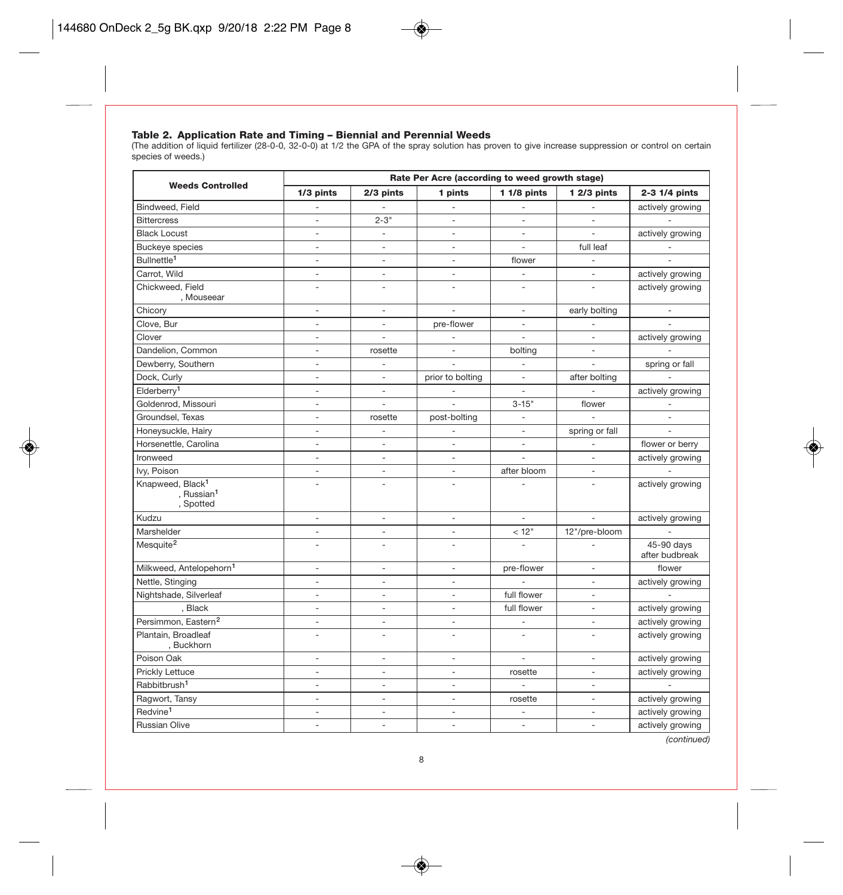**Table 2. Application Rate and Timing – Biennial and Perennial Weeds**<br>(The addition of liquid fertilizer (28-0-0, 32-0-0) at 1/2 the GPA of the spray solution has proven to give increase suppression or control on certain<br>s

|                                                                     | Rate Per Acre (according to weed growth stage) |                          |                          |                          |                          |                              |
|---------------------------------------------------------------------|------------------------------------------------|--------------------------|--------------------------|--------------------------|--------------------------|------------------------------|
| <b>Weeds Controlled</b>                                             | 1/3 pints                                      | 2/3 pints                | 1 pints                  | $11/8$ pints             | $12/3$ pints             | 2-3 1/4 pints                |
| Bindweed, Field                                                     |                                                |                          |                          | $\overline{a}$           |                          | actively growing             |
| <b>Bittercress</b>                                                  | ÷,                                             | $2 - 3"$                 | ÷,                       | ÷,                       |                          |                              |
| <b>Black Locust</b>                                                 | ÷,                                             | $\overline{a}$           | ÷,                       | ÷,                       | $\overline{a}$           | actively growing             |
| <b>Buckeye</b> species                                              | $\bar{a}$                                      | $\bar{a}$                | ÷,                       | ÷,                       | full leaf                |                              |
| Bullnettle <sup>1</sup>                                             | ÷,                                             | ÷,                       | ÷,                       | flower                   |                          |                              |
| Carrot, Wild                                                        | $\overline{a}$                                 | $\bar{a}$                | ÷,                       | $\overline{\phantom{a}}$ | $\overline{a}$           | actively growing             |
| Chickweed, Field<br>, Mouseear                                      | ÷.                                             | $\overline{a}$           | L,                       | $\overline{a}$           | $\overline{a}$           | actively growing             |
| Chicorv                                                             | $\overline{\phantom{a}}$                       | $\overline{\phantom{a}}$ |                          | $\overline{\phantom{a}}$ | early bolting            |                              |
| Clove, Bur                                                          | $\overline{\phantom{a}}$                       | $\bar{a}$                | pre-flower               | $\sim$                   | $\overline{a}$           |                              |
| Clover                                                              | $\overline{\phantom{a}}$                       | ÷,                       |                          | ÷,                       | $\overline{\phantom{a}}$ | actively growing             |
| Dandelion, Common                                                   | $\overline{a}$                                 | rosette                  | ÷,                       | bolting                  | $\overline{a}$           |                              |
| Dewberry, Southern                                                  | ÷                                              | $\overline{a}$           |                          | $\overline{a}$           |                          | spring or fall               |
| Dock, Curly                                                         | $\overline{a}$                                 | $\bar{a}$                | prior to bolting         | $\overline{\phantom{a}}$ | after bolting            |                              |
| Elderberry <sup>1</sup>                                             | $\overline{\phantom{a}}$                       | $\overline{\phantom{a}}$ |                          | ÷,                       |                          | actively growing             |
| Goldenrod, Missouri                                                 | $\overline{a}$                                 | $\overline{a}$           | ÷,                       | $3 - 15"$                | flower                   |                              |
| Groundsel, Texas                                                    | $\overline{\phantom{a}}$                       | rosette                  | post-bolting             | $\overline{\phantom{a}}$ |                          |                              |
| Honeysuckle, Hairy                                                  | $\sim$                                         | $\overline{a}$           | $\overline{a}$           | $\overline{\phantom{a}}$ | spring or fall           | $\overline{a}$               |
| Horsenettle, Carolina                                               | $\overline{\phantom{a}}$                       | $\overline{\phantom{a}}$ | $\bar{a}$                | $\overline{\phantom{a}}$ | $\frac{1}{2}$            | flower or berry              |
| Ironweed                                                            | $\overline{a}$                                 | ÷,                       | $\blacksquare$           | $\overline{a}$           | ä,                       | actively growing             |
| Ivy, Poison                                                         | $\overline{a}$                                 | $\bar{a}$                | ÷,                       | after bloom              | $\bar{a}$                |                              |
| Knapweed, Black <sup>1</sup><br>, Russian <sup>1</sup><br>, Spotted | $\overline{a}$                                 | $\overline{a}$           | $\overline{a}$           | ÷,                       | $\overline{a}$           | actively growing             |
| Kudzu                                                               | $\overline{\phantom{a}}$                       | $\overline{\phantom{a}}$ | $\overline{\phantom{a}}$ | $\overline{\phantom{a}}$ | $\overline{\phantom{a}}$ | actively growing             |
| Marshelder                                                          | $\bar{a}$                                      | $\bar{a}$                | $\bar{a}$                | < 12"                    | 12"/pre-bloom            |                              |
| Mesquite <sup>2</sup>                                               | $\overline{a}$                                 | ÷,                       | ÷,                       | $\overline{a}$           |                          | 45-90 days<br>after budbreak |
| Milkweed, Antelopehorn <sup>1</sup>                                 | ä,                                             | $\bar{a}$                | $\bar{a}$                | pre-flower               | ä,                       | flower                       |
| Nettle, Stinging                                                    | $\overline{\phantom{a}}$                       | $\overline{\phantom{a}}$ | $\overline{\phantom{a}}$ |                          | ÷,                       | actively growing             |
| Nightshade, Silverleaf                                              | $\overline{a}$                                 | $\overline{a}$           | ÷,                       | full flower              | $\overline{a}$           |                              |
| , Black                                                             | ÷,                                             | ÷,                       | ÷,                       | full flower              | ÷,                       | actively growing             |
| Persimmon, Eastern <sup>2</sup>                                     | $\bar{a}$                                      | ÷,                       | $\bar{a}$                | $\overline{a}$           | $\overline{a}$           | actively growing             |
| Plantain, Broadleaf<br>, Buckhorn                                   | $\overline{a}$                                 | L,                       | L,                       | $\overline{a}$           | $\overline{a}$           | actively growing             |
| Poison Oak                                                          | $\overline{\phantom{a}}$                       | $\overline{\phantom{a}}$ | $\blacksquare$           | $\blacksquare$           | $\overline{\phantom{a}}$ | actively growing             |
| Prickly Lettuce                                                     | $\overline{a}$                                 | $\overline{a}$           | ÷,                       | rosette                  | $\overline{a}$           | actively growing             |
| Rabbitbrush <sup>1</sup>                                            | $\overline{\phantom{a}}$                       | $\overline{a}$           | $\overline{a}$           | $\overline{a}$           | $\overline{a}$           |                              |
| Ragwort, Tansy                                                      | $\overline{\phantom{a}}$                       | $\overline{\phantom{a}}$ | ÷,                       | rosette                  | ÷,                       | actively growing             |
| Redvine <sup>1</sup>                                                | $\overline{\phantom{a}}$                       | $\overline{\phantom{a}}$ | $\overline{a}$           | ÷                        | $\overline{a}$           | actively growing             |
| <b>Russian Olive</b>                                                | $\overline{\phantom{a}}$                       | $\overline{\phantom{a}}$ | ÷,                       | $\overline{\phantom{a}}$ | ÷,                       | actively growing             |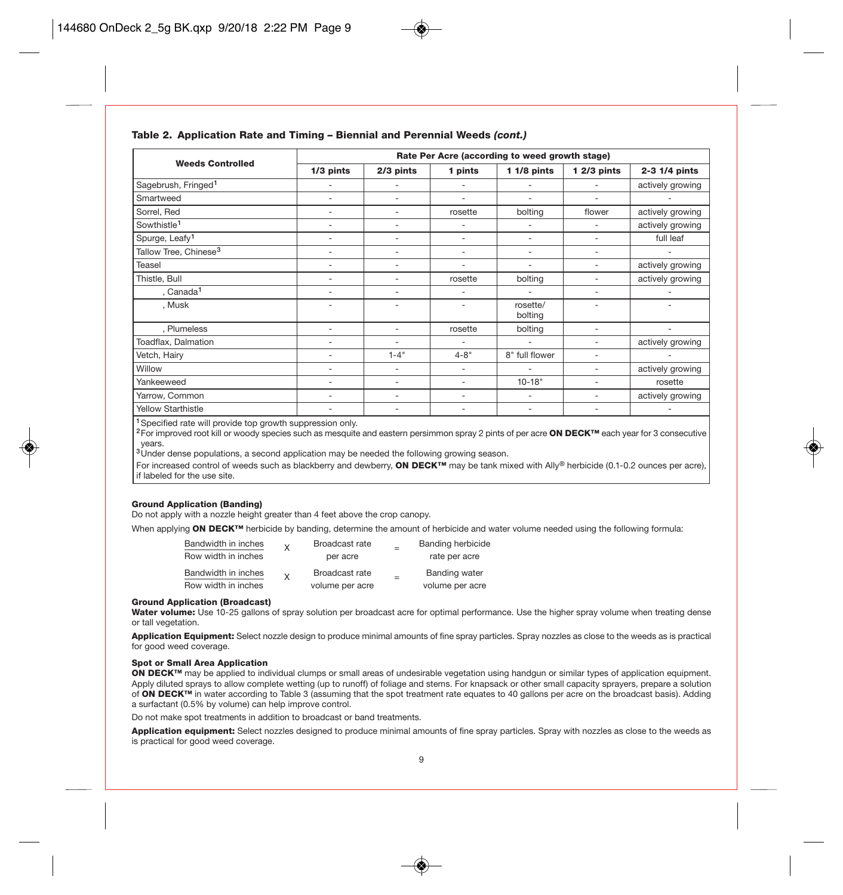

| <b>Weeds Controlled</b>           |                          | Rate Per Acre (according to weed growth stage) |                          |                     |              |                  |  |  |
|-----------------------------------|--------------------------|------------------------------------------------|--------------------------|---------------------|--------------|------------------|--|--|
|                                   | $1/3$ pints              | 2/3 pints                                      | 1 pints                  | $11/8$ pints        | $12/3$ pints | 2-3 1/4 pints    |  |  |
| Sagebrush, Fringed <sup>1</sup>   |                          | ۰                                              | ٠                        |                     |              | actively growing |  |  |
| Smartweed                         | $\overline{\phantom{a}}$ | ۰                                              | $\overline{\phantom{a}}$ | ۰                   | -            |                  |  |  |
| Sorrel, Red                       | ٠                        | ٠                                              | rosette                  | bolting             | flower       | actively growing |  |  |
| Sowthistle <sup>1</sup>           | ٠                        | ٠                                              | ٠                        |                     |              | actively growing |  |  |
| Spurge, Leafy <sup>1</sup>        |                          | ٠                                              | ٠                        |                     |              | full leaf        |  |  |
| Tallow Tree, Chinese <sup>3</sup> |                          | ۰                                              | ٠                        |                     | -            |                  |  |  |
| Teasel                            |                          | -                                              | ٠                        | ۰                   | -            | actively growing |  |  |
| Thistle, Bull                     |                          | ٠                                              | rosette                  | bolting             | ۰            | actively growing |  |  |
| , Canada <sup>1</sup>             | ۰                        | ۰                                              | ٠                        |                     |              |                  |  |  |
| , Musk                            | ۰                        | ٠                                              | $\overline{\phantom{a}}$ | rosette/<br>bolting |              |                  |  |  |
| , Plumeless                       | $\overline{\phantom{a}}$ | ٠                                              | rosette                  | bolting             | ۰            |                  |  |  |
| Toadflax, Dalmation               |                          | ۰                                              | $\overline{\phantom{0}}$ |                     | ۰            | actively growing |  |  |
| Vetch, Hairy                      | $\overline{\phantom{a}}$ | $1 - 4"$                                       | $4 - 8"$                 | 8" full flower      | ٠            |                  |  |  |
| Willow                            | ٠                        | ٠                                              | $\overline{\phantom{a}}$ |                     |              | actively growing |  |  |
| Yankeeweed                        | ۰                        | ۰                                              | ٠                        | $10 - 18"$          |              | rosette          |  |  |
| Yarrow, Common                    |                          |                                                | ٠                        |                     |              | actively growing |  |  |
| <b>Yellow Starthistle</b>         |                          | ٠                                              | ٠                        | ٠                   |              | ٠                |  |  |

<sup>1</sup> Specified rate will provide top growth suppression only.

<sup>2</sup>For improved root kill or woody species such as mesquite and eastern persimmon spray 2 pints of per acre ON DECK™ each year for 3 consecutive years.

 $3$ Under dense populations, a second application may be needed the following growing season.

For increased control of weeds such as blackberry and dewberry, ON DECK<sup>™</sup> may be tank mixed with Ally® herbicide (0.1-0.2 ounces per acre), if labeled for the use site.

### Ground Application (Banding)

Do not apply with a nozzle height greater than 4 feet above the crop canopy.

When applying ON DECK™ herbicide by banding, determine the amount of herbicide and water volume needed using the following formula:

| Bandwidth in inches                        | $\mathsf{x}$ | Broadcast rate                    | <b>Banding herbicide</b>                |
|--------------------------------------------|--------------|-----------------------------------|-----------------------------------------|
| Row width in inches                        |              | per acre                          | rate per acre                           |
| Bandwidth in inches<br>Row width in inches | $\mathsf{Y}$ | Broadcast rate<br>volume per acre | <b>Banding water</b><br>volume per acre |

#### Ground Application (Broadcast)

Water volume: Use 10-25 gallons of spray solution per broadcast acre for optimal performance. Use the higher spray volume when treating dense or tall vegetation.

Application Equipment: Select nozzle design to produce minimal amounts of fine spray particles. Spray nozzles as close to the weeds as is practical for good weed coverage.

### Spot or Small Area Application

ON DECK™ may be applied to individual clumps or small areas of undesirable vegetation using handgun or similar types of application equipment. Apply diluted sprays to allow complete wetting (up to runoff) of foliage and stems. For knapsack or other small capacity sprayers, prepare a solution of ON DECK™ in water according to Table 3 (assuming that the spot treatment rate equates to 40 gallons per acre on the broadcast basis). Adding a surfactant (0.5% by volume) can help improve control.

Do not make spot treatments in addition to broadcast or band treatments.

Application equipment: Select nozzles designed to produce minimal amounts of fine spray particles. Spray with nozzles as close to the weeds as is practical for good weed coverage.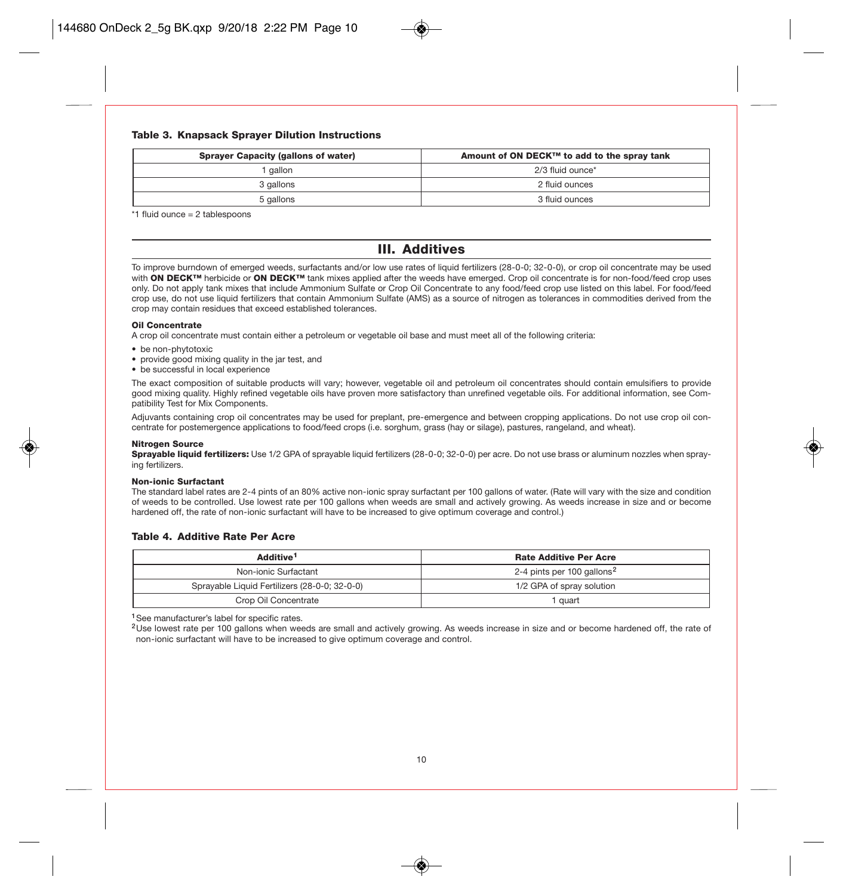### Table 3. Knapsack Sprayer Dilution Instructions

| <b>Sprayer Capacity (gallons of water)</b> | Amount of ON DECK™ to add to the spray tank |
|--------------------------------------------|---------------------------------------------|
| aallon                                     | 2/3 fluid ounce*                            |
| 3 gallons                                  | 2 fluid ounces                              |
| 5 gallons                                  | 3 fluid ounces                              |

\*1 fluid ounce = 2 tablespoons

### III. Additives

To improve burndown of emerged weeds, surfactants and/or low use rates of liquid fertilizers (28-0-0; 32-0-0), or crop oil concentrate may be used with ON DECK™ herbicide or ON DECK™ tank mixes applied after the weeds have emerged. Crop oil concentrate is for non-food/feed crop uses only. Do not apply tank mixes that include Ammonium Sulfate or Crop Oil Concentrate to any food/feed crop use listed on this label. For food/feed crop use, do not use liquid fertilizers that contain Ammonium Sulfate (AMS) as a source of nitrogen as tolerances in commodities derived from the crop may contain residues that exceed established tolerances.

### Oil Concentrate

A crop oil concentrate must contain either a petroleum or vegetable oil base and must meet all of the following criteria:

- be non-phytotoxic
- provide good mixing quality in the jar test, and
- be successful in local experience

The exact composition of suitable products will vary; however, vegetable oil and petroleum oil concentrates should contain emulsifiers to provide good mixing quality. Highly refined vegetable oils have proven more satisfactory than unrefined vegetable oils. For additional information, see Compatibility Test for Mix Components.

Adjuvants containing crop oil concentrates may be used for preplant, pre-emergence and between cropping applications. Do not use crop oil concentrate for postemergence applications to food/feed crops (i.e. sorghum, grass (hay or silage), pastures, rangeland, and wheat).

### Nitrogen Source

Sprayable liquid fertilizers: Use 1/2 GPA of sprayable liquid fertilizers (28-0-0; 32-0-0) per acre. Do not use brass or aluminum nozzles when spraying fertilizers.

#### Non-ionic Surfactant

The standard label rates are 2-4 pints of an 80% active non-ionic spray surfactant per 100 gallons of water. (Rate will vary with the size and condition of weeds to be controlled. Use lowest rate per 100 gallons when weeds are small and actively growing. As weeds increase in size and or become hardened off, the rate of non-ionic surfactant will have to be increased to give optimum coverage and control.)

### Table 4. Additive Rate Per Acre

| Additive <sup>1</sup>                         | <b>Rate Additive Per Acre</b>          |
|-----------------------------------------------|----------------------------------------|
| Non-ionic Surfactant                          | 2-4 pints per 100 gallons <sup>2</sup> |
| Sprayable Liquid Fertilizers (28-0-0; 32-0-0) | 1/2 GPA of spray solution              |
| Crop Oil Concentrate                          | quart                                  |

<sup>1</sup>See manufacturer's label for specific rates.

<sup>2</sup>Use lowest rate per 100 gallons when weeds are small and actively growing. As weeds increase in size and or become hardened off, the rate of non-ionic surfactant will have to be increased to give optimum coverage and control.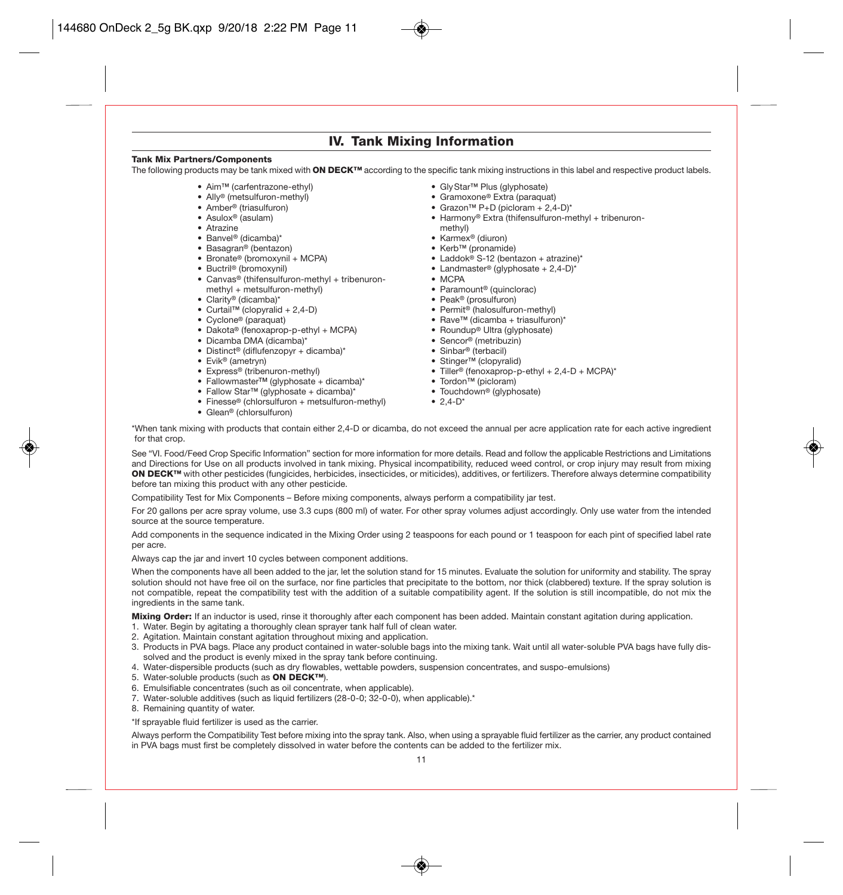### IV. Tank Mixing Information

#### Tank Mix Partners/Components

The following products may be tank mixed with ON DECK™ according to the specific tank mixing instructions in this label and respective product labels.

- Aim™ (carfentrazone-ethyl)
- Ally® (metsulfuron-methyl)
- Amber® (triasulfuron)
- Asulox® (asulam)
- Atrazine
- Banvel® (dicamba)\*
- Basagran® (bentazon)
- Bronate® (bromoxynil + MCPA)
- Buctril® (bromoxynil)
- Canvas® (thifensulfuron-methyl + tribenuronmethyl + metsulfuron-methyl)
- Clarity® (dicamba)\*
- Curtail™ (clopyralid + 2,4-D)
- Cyclone® (paraquat)
- Dakota® (fenoxaprop-p-ethyl + MCPA)
- Dicamba DMA (dicamba)\*
- Distinct® (diflufenzopyr + dicamba)\*
- Evik® (ametryn)
- Express® (tribenuron-methyl)
- FallowmasterTM (glyphosate + dicamba)\*
- Fallow Star™ (glyphosate + dicamba)\*
- Finesse® (chlorsulfuron + metsulfuron-methyl)
- Glean® (chlorsulfuron)
- GlyStar™ Plus (glyphosate)
- Gramoxone® Extra (paraquat)
- Grazon™ P+D (picloram + 2,4-D)\*
- Harmony® Extra (thifensulfuron-methyl + tribenuron-
- methyl)
- Karmex® (diuron)
- Kerb™ (pronamide)
- Laddok® S-12 (bentazon + atrazine)\*
- Landmaster® (glyphosate  $+ 2,4-D$ )\*
- MCPA
- Paramount® (quinclorac)
- Peak® (prosulfuron)
- Permit® (halosulfuron-methyl)
- Rave™ (dicamba + triasulfuron)\*
- Roundup® Ultra (glyphosate)
- Sencor® (metribuzin)
- Sinbar® (terbacil)
- Stinger™ (clopyralid)
- Tiller® (fenoxaprop-p-ethyl + 2,4-D + MCPA)\*
- Tordon™ (picloram)
- Touchdown® (glyphosate)
- $2.4-D^*$
- 

\*When tank mixing with products that contain either 2,4-D or dicamba, do not exceed the annual per acre application rate for each active ingredient for that crop.

See "VI. Food/Feed Crop Specific Information" section for more information for more details. Read and follow the applicable Restrictions and Limitations and Directions for Use on all products involved in tank mixing. Physical incompatibility, reduced weed control, or crop injury may result from mixing ON DECK™ with other pesticides (fungicides, herbicides, insecticides, or miticides), additives, or fertilizers. Therefore always determine compatibility before tan mixing this product with any other pesticide.

Compatibility Test for Mix Components – Before mixing components, always perform a compatibility jar test.

For 20 gallons per acre spray volume, use 3.3 cups (800 ml) of water. For other spray volumes adjust accordingly. Only use water from the intended source at the source temperature.

Add components in the sequence indicated in the Mixing Order using 2 teaspoons for each pound or 1 teaspoon for each pint of specified label rate per acre.

Always cap the jar and invert 10 cycles between component additions.

When the components have all been added to the jar, let the solution stand for 15 minutes. Evaluate the solution for uniformity and stability. The spray solution should not have free oil on the surface, nor fine particles that precipitate to the bottom, nor thick (clabbered) texture. If the spray solution is not compatible, repeat the compatibility test with the addition of a suitable compatibility agent. If the solution is still incompatible, do not mix the ingredients in the same tank.

Mixing Order: If an inductor is used, rinse it thoroughly after each component has been added. Maintain constant agitation during application. 1. Water. Begin by agitating a thoroughly clean sprayer tank half full of clean water.

- 2. Agitation. Maintain constant agitation throughout mixing and application.
- 3. Products in PVA bags. Place any product contained in water-soluble bags into the mixing tank. Wait until all water-soluble PVA bags have fully dissolved and the product is evenly mixed in the spray tank before continuing.

4. Water-dispersible products (such as dry flowables, wettable powders, suspension concentrates, and suspo-emulsions)

- 5. Water-soluble products (such as ON DECK™).
- 6. Emulsifiable concentrates (such as oil concentrate, when applicable).
- 7. Water-soluble additives (such as liquid fertilizers (28-0-0; 32-0-0), when applicable).\*

8. Remaining quantity of water.

\*If sprayable fluid fertilizer is used as the carrier.

Always perform the Compatibility Test before mixing into the spray tank. Also, when using a sprayable fluid fertilizer as the carrier, any product contained in PVA bags must first be completely dissolved in water before the contents can be added to the fertilizer mix.

11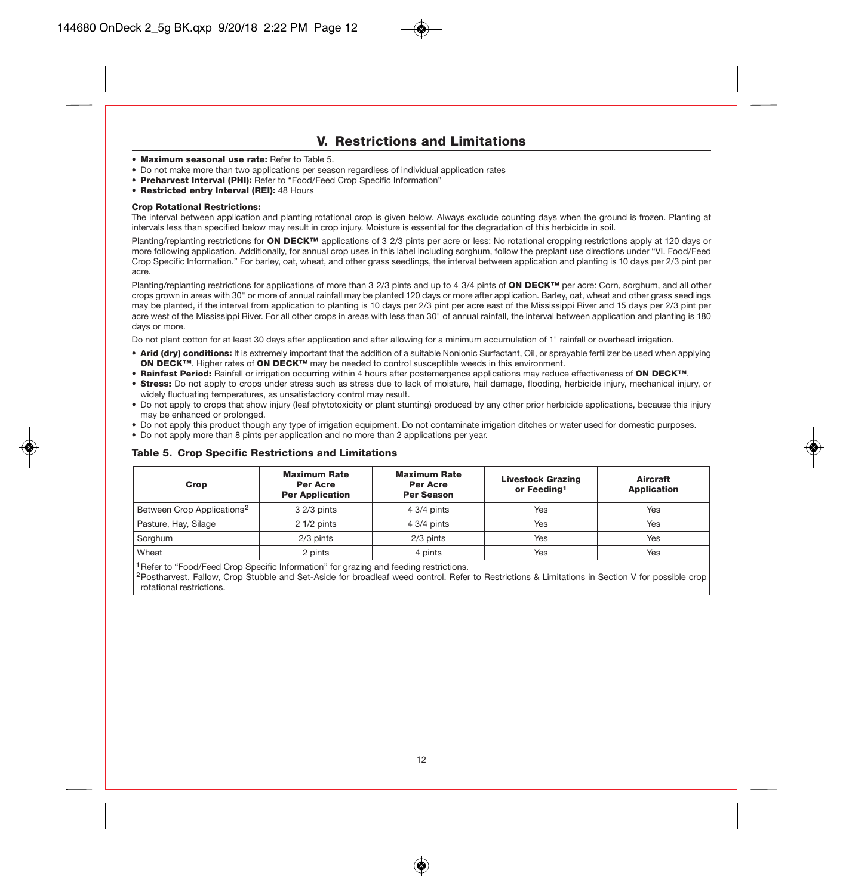### V. Restrictions and Limitations

- Maximum seasonal use rate: Refer to Table 5.
- Do not make more than two applications per season regardless of individual application rates
- Preharvest Interval (PHI): Refer to "Food/Feed Crop Specific Information"
- Restricted entry Interval (REI): 48 Hours

#### Crop Rotational Restrictions:

The interval between application and planting rotational crop is given below. Always exclude counting days when the ground is frozen. Planting at intervals less than specified below may result in crop injury. Moisture is essential for the degradation of this herbicide in soil.

Planting/replanting restrictions for ON DECK™ applications of 3 2/3 pints per acre or less: No rotational cropping restrictions apply at 120 days or more following application. Additionally, for annual crop uses in this label including sorghum, follow the preplant use directions under "VI. Food/Feed Crop Specific Information." For barley, oat, wheat, and other grass seedlings, the interval between application and planting is 10 days per 2/3 pint per acre.

Planting/replanting restrictions for applications of more than 3 2/3 pints and up to 4 3/4 pints of ON DECK™ per acre: Corn, sorghum, and all other crops grown in areas with 30" or more of annual rainfall may be planted 120 days or more after application. Barley, oat, wheat and other grass seedlings may be planted, if the interval from application to planting is 10 days per 2/3 pint per acre east of the Mississippi River and 15 days per 2/3 pint per acre west of the Mississippi River. For all other crops in areas with less than 30" of annual rainfall, the interval between application and planting is 180 days or more.

Do not plant cotton for at least 30 days after application and after allowing for a minimum accumulation of 1" rainfall or overhead irrigation.

- Arid (dry) conditions: It is extremely important that the addition of a suitable Nonionic Surfactant, Oil, or sprayable fertilizer be used when applying ON DECK<sup>™</sup>. Higher rates of ON DECK<sup>™</sup> may be needed to control susceptible weeds in this environment.
- · Rainfast Period: Rainfall or irrigation occurring within 4 hours after postemergence applications may reduce effectiveness of ON DECK™.
- Stress: Do not apply to crops under stress such as stress due to lack of moisture, hail damage, flooding, herbicide injury, mechanical injury, or widely fluctuating temperatures, as unsatisfactory control may result.
- Do not apply to crops that show injury (leaf phytotoxicity or plant stunting) produced by any other prior herbicide applications, because this injury may be enhanced or prolonged.
- Do not apply this product though any type of irrigation equipment. Do not contaminate irrigation ditches or water used for domestic purposes.
- Do not apply more than 8 pints per application and no more than 2 applications per year.

### Table 5. Crop Specific Restrictions and Limitations

| Crop                                   | <b>Maximum Rate</b><br><b>Per Acre</b><br><b>Per Application</b> | <b>Maximum Rate</b><br><b>Per Acre</b><br><b>Per Season</b> | <b>Livestock Grazing</b><br>or Feeding <sup>1</sup> | Aircraft<br><b>Application</b> |
|----------------------------------------|------------------------------------------------------------------|-------------------------------------------------------------|-----------------------------------------------------|--------------------------------|
| Between Crop Applications <sup>2</sup> | 3 2/3 pints                                                      | 4 3/4 pints                                                 | Yes                                                 | Yes                            |
| Pasture, Hay, Silage                   | $21/2$ pints                                                     | 4 3/4 pints                                                 | Yes                                                 | Yes                            |
| Sorghum                                | 2/3 pints                                                        | 2/3 pints                                                   | Yes                                                 | Yes                            |
| Wheat                                  | 2 pints                                                          | 4 pints                                                     | Yes                                                 | Yes                            |

<sup>1</sup> Refer to "Food/Feed Crop Specific Information" for grazing and feeding restrictions.

<sup>2</sup>Postharvest, Fallow, Crop Stubble and Set-Aside for broadleaf weed control. Refer to Restrictions & Limitations in Section V for possible crop rotational restrictions.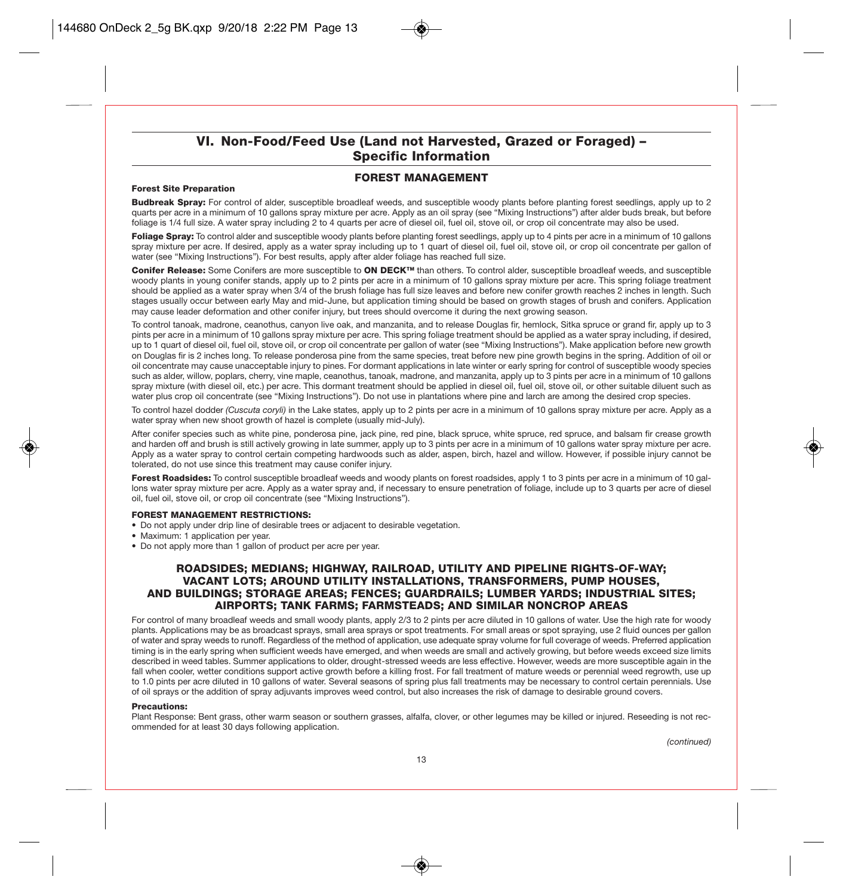### VI. Non-Food/Feed Use (Land not Harvested, Grazed or Foraged) – Specific Information

### FOREST MANAGEMENT

### Forest Site Preparation

Budbreak Spray: For control of alder, susceptible broadleaf weeds, and susceptible woody plants before planting forest seedlings, apply up to 2 quarts per acre in a minimum of 10 gallons spray mixture per acre. Apply as an oil spray (see "Mixing Instructions") after alder buds break, but before foliage is 1/4 full size. A water spray including 2 to 4 quarts per acre of diesel oil, fuel oil, stove oil, or crop oil concentrate may also be used.

Foliage Spray: To control alder and susceptible woody plants before planting forest seedlings, apply up to 4 pints per acre in a minimum of 10 gallons spray mixture per acre. If desired, apply as a water spray including up to 1 quart of diesel oil, fuel oil, stove oil, or crop oil concentrate per gallon of water (see "Mixing Instructions"). For best results, apply after alder foliage has reached full size.

Conifer Release: Some Conifers are more susceptible to ON DECK™ than others. To control alder, susceptible broadleaf weeds, and susceptible woody plants in young conifer stands, apply up to 2 pints per acre in a minimum of 10 gallons spray mixture per acre. This spring foliage treatment should be applied as a water spray when 3/4 of the brush foliage has full size leaves and before new conifer growth reaches 2 inches in length. Such stages usually occur between early May and mid-June, but application timing should be based on growth stages of brush and conifers. Application may cause leader deformation and other conifer injury, but trees should overcome it during the next growing season.

To control tanoak, madrone, ceanothus, canyon live oak, and manzanita, and to release Douglas fir, hemlock, Sitka spruce or grand fir, apply up to 3 pints per acre in a minimum of 10 gallons spray mixture per acre. This spring foliage treatment should be applied as a water spray including, if desired, up to 1 quart of diesel oil, fuel oil, stove oil, or crop oil concentrate per gallon of water (see "Mixing Instructions"). Make application before new growth on Douglas fir is 2 inches long. To release ponderosa pine from the same species, treat before new pine growth begins in the spring. Addition of oil or oil concentrate may cause unacceptable injury to pines. For dormant applications in late winter or early spring for control of susceptible woody species such as alder, willow, poplars, cherry, vine maple, ceanothus, tanoak, madrone, and manzanita, apply up to 3 pints per acre in a minimum of 10 gallons spray mixture (with diesel oil, etc.) per acre. This dormant treatment should be applied in diesel oil, fuel oil, stove oil, or other suitable diluent such as water plus crop oil concentrate (see "Mixing Instructions"). Do not use in plantations where pine and larch are among the desired crop species.

To control hazel dodder *(Cuscuta coryli)* in the Lake states, apply up to 2 pints per acre in a minimum of 10 gallons spray mixture per acre. Apply as a water spray when new shoot growth of hazel is complete (usually mid-July).

After conifer species such as white pine, ponderosa pine, jack pine, red pine, black spruce, white spruce, red spruce, and balsam fir crease growth and harden off and brush is still actively growing in late summer, apply up to 3 pints per acre in a minimum of 10 gallons water spray mixture per acre. Apply as a water spray to control certain competing hardwoods such as alder, aspen, birch, hazel and willow. However, if possible injury cannot be tolerated, do not use since this treatment may cause conifer injury.

Forest Roadsides: To control susceptible broadleaf weeds and woody plants on forest roadsides, apply 1 to 3 pints per acre in a minimum of 10 gallons water spray mixture per acre. Apply as a water spray and, if necessary to ensure penetration of foliage, include up to 3 quarts per acre of diesel oil, fuel oil, stove oil, or crop oil concentrate (see "Mixing Instructions").

### FOREST MANAGEMENT RESTRICTIONS:

- Do not apply under drip line of desirable trees or adjacent to desirable vegetation.
- Maximum: 1 application per year.
- Do not apply more than 1 gallon of product per acre per year.

### ROADSIDES; MEDIANS; HIGHWAY, RAILROAD, UTILITY AND PIPELINE RIGHTS-OF-WAY; VACANT LOTS; AROUND UTILITY INSTALLATIONS, TRANSFORMERS, PUMP HOUSES, AND BUILDINGS; STORAGE AREAS; FENCES; GUARDRAILS; LUMBER YARDS; INDUSTRIAL SITES; AIRPORTS; TANK FARMS; FARMSTEADS; AND SIMILAR NONCROP AREAS

For control of many broadleaf weeds and small woody plants, apply 2/3 to 2 pints per acre diluted in 10 gallons of water. Use the high rate for woody plants. Applications may be as broadcast sprays, small area sprays or spot treatments. For small areas or spot spraying, use 2 fluid ounces per gallon of water and spray weeds to runoff. Regardless of the method of application, use adequate spray volume for full coverage of weeds. Preferred application timing is in the early spring when sufficient weeds have emerged, and when weeds are small and actively growing, but before weeds exceed size limits described in weed tables. Summer applications to older, drought-stressed weeds are less effective. However, weeds are more susceptible again in the fall when cooler, wetter conditions support active growth before a killing frost. For fall treatment of mature weeds or perennial weed regrowth, use up to 1.0 pints per acre diluted in 10 gallons of water. Several seasons of spring plus fall treatments may be necessary to control certain perennials. Use of oil sprays or the addition of spray adjuvants improves weed control, but also increases the risk of damage to desirable ground covers.

#### Precautions:

Plant Response: Bent grass, other warm season or southern grasses, alfalfa, clover, or other legumes may be killed or injured. Reseeding is not recommended for at least 30 days following application.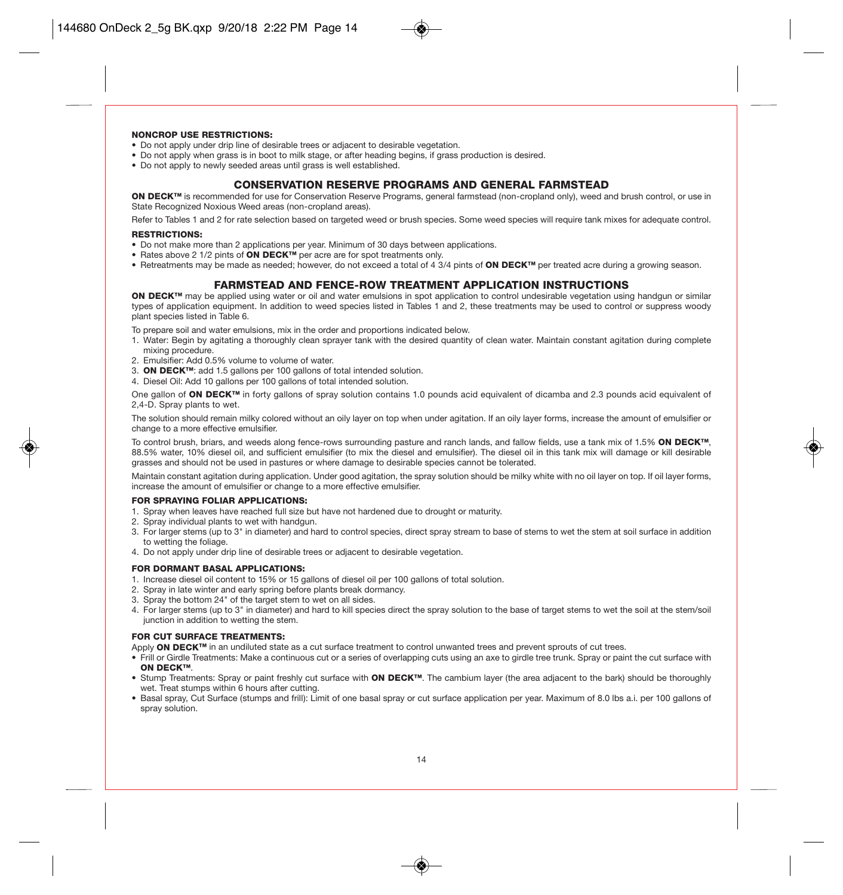### NONCROP USE RESTRICTIONS:

- Do not apply under drip line of desirable trees or adjacent to desirable vegetation.
- Do not apply when grass is in boot to milk stage, or after heading begins, if grass production is desired.
- Do not apply to newly seeded areas until grass is well established.

### CONSERVATION RESERVE PROGRAMS AND GENERAL FARMSTEAD

ON DECK™ is recommended for use for Conservation Reserve Programs, general farmstead (non-cropland only), weed and brush control, or use in State Recognized Noxious Weed areas (non-cropland areas).

Refer to Tables 1 and 2 for rate selection based on targeted weed or brush species. Some weed species will require tank mixes for adequate control.

### RESTRICTIONS:

- Do not make more than 2 applications per year. Minimum of 30 days between applications.
- Rates above 2 1/2 pints of ON DECK™ per acre are for spot treatments only.
- Retreatments may be made as needed; however, do not exceed a total of 4 3/4 pints of ON DECK™ per treated acre during a growing season.

### FARMSTEAD AND FENCE-ROW TREATMENT APPLICATION INSTRUCTIONS

ON DECK™ may be applied using water or oil and water emulsions in spot application to control undesirable vegetation using handgun or similar types of application equipment. In addition to weed species listed in Tables 1 and 2, these treatments may be used to control or suppress woody plant species listed in Table 6.

To prepare soil and water emulsions, mix in the order and proportions indicated below.

- 1. Water: Begin by agitating a thoroughly clean sprayer tank with the desired quantity of clean water. Maintain constant agitation during complete mixing procedure.
- 2. Emulsifier: Add 0.5% volume to volume of water.
- 3. ON DECK™: add 1.5 gallons per 100 gallons of total intended solution.
- 4. Diesel Oil: Add 10 gallons per 100 gallons of total intended solution.

One gallon of ON DECK<sup>™</sup> in forty gallons of spray solution contains 1.0 pounds acid equivalent of dicamba and 2.3 pounds acid equivalent of 2,4-D. Spray plants to wet.

The solution should remain milky colored without an oily layer on top when under agitation. If an oily layer forms, increase the amount of emulsifier or change to a more effective emulsifier.

To control brush, briars, and weeds along fence-rows surrounding pasture and ranch lands, and fallow fields, use a tank mix of 1.5% ON DECK™, 88.5% water, 10% diesel oil, and sufficient emulsifier (to mix the diesel and emulsifier). The diesel oil in this tank mix will damage or kill desirable grasses and should not be used in pastures or where damage to desirable species cannot be tolerated.

Maintain constant agitation during application. Under good agitation, the spray solution should be milky white with no oil layer on top. If oil layer forms, increase the amount of emulsifier or change to a more effective emulsifier.

#### FOR SPRAYING FOLIAR APPLICATIONS:

- 1. Spray when leaves have reached full size but have not hardened due to drought or maturity.
- 2. Spray individual plants to wet with handgun.
- 3. For larger stems (up to 3" in diameter) and hard to control species, direct spray stream to base of stems to wet the stem at soil surface in addition to wetting the foliage.
- 4. Do not apply under drip line of desirable trees or adjacent to desirable vegetation.

#### FOR DORMANT BASAL APPLICATIONS:

- 1. Increase diesel oil content to 15% or 15 gallons of diesel oil per 100 gallons of total solution.
- 2. Spray in late winter and early spring before plants break dormancy.
- 3. Spray the bottom 24" of the target stem to wet on all sides.
- 4. For larger stems (up to 3" in diameter) and hard to kill species direct the spray solution to the base of target stems to wet the soil at the stem/soil junction in addition to wetting the stem.

### FOR CUT SURFACE TREATMENTS:

Apply ON DECK™ in an undiluted state as a cut surface treatment to control unwanted trees and prevent sprouts of cut trees.

- Frill or Girdle Treatments: Make a continuous cut or a series of overlapping cuts using an axe to girdle tree trunk. Spray or paint the cut surface with ON DECK™
- Stump Treatments: Spray or paint freshly cut surface with ON DECK™. The cambium layer (the area adjacent to the bark) should be thoroughly wet. Treat stumps within 6 hours after cutting.
- Basal spray, Cut Surface (stumps and frill): Limit of one basal spray or cut surface application per year. Maximum of 8.0 lbs a.i. per 100 gallons of spray solution.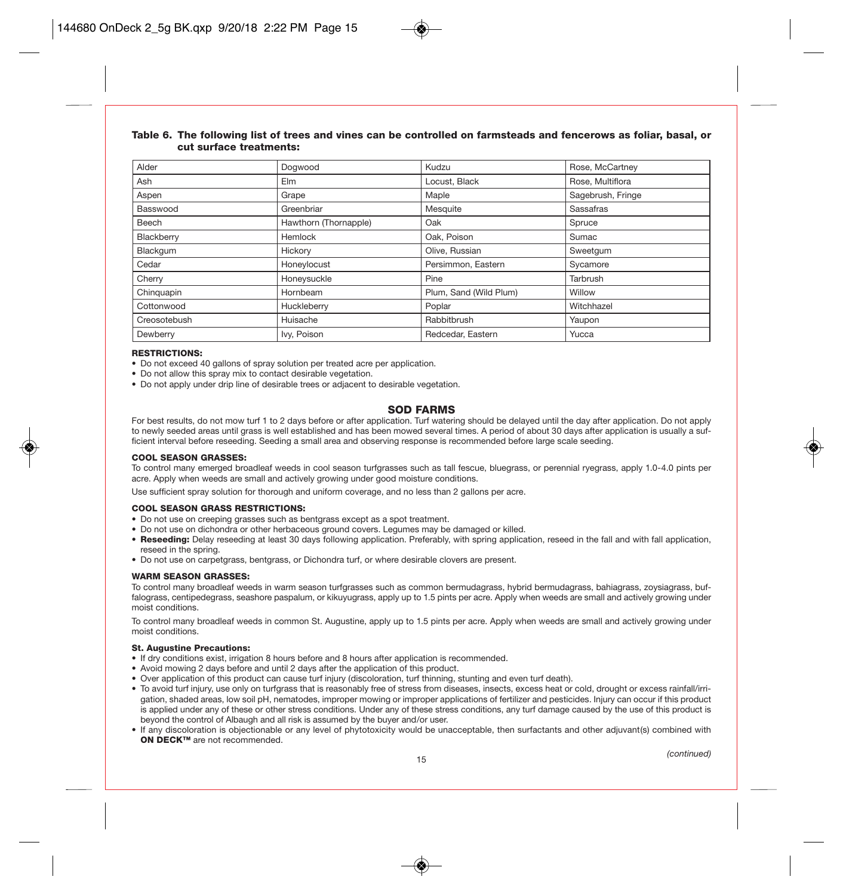| Alder        | Dogwood               | Kudzu                  | Rose, McCartney   |
|--------------|-----------------------|------------------------|-------------------|
| Ash          | Elm                   | Locust, Black          | Rose, Multiflora  |
| Aspen        | Grape                 | Maple                  | Sagebrush, Fringe |
| Basswood     | Greenbriar            | Mesquite               | Sassafras         |
| Beech        | Hawthorn (Thornapple) | Oak                    | Spruce            |
| Blackberry   | Hemlock               | Oak, Poison            | Sumac             |
| Blackgum     | Hickory               | Olive, Russian         | Sweetgum          |
| Cedar        | Honeylocust           | Persimmon, Eastern     | Sycamore          |
| Cherry       | Honeysuckle           | Pine                   | Tarbrush          |
| Chinguapin   | Hornbeam              | Plum, Sand (Wild Plum) | Willow            |
| Cottonwood   | Huckleberry           | Poplar                 | Witchhazel        |
| Creosotebush | Huisache              | Rabbitbrush            | Yaupon            |
| Dewberry     | Ivy, Poison           | Redcedar, Eastern      | Yucca             |

### Table 6. The following list of trees and vines can be controlled on farmsteads and fencerows as foliar, basal, or cut surface treatments:

#### RESTRICTIONS:

• Do not exceed 40 gallons of spray solution per treated acre per application.

• Do not allow this spray mix to contact desirable vegetation.

• Do not apply under drip line of desirable trees or adjacent to desirable vegetation.

### SOD FARMS

For best results, do not mow turf 1 to 2 days before or after application. Turf watering should be delayed until the day after application. Do not apply to newly seeded areas until grass is well established and has been mowed several times. A period of about 30 days after application is usually a sufficient interval before reseeding. Seeding a small area and observing response is recommended before large scale seeding.

#### COOL SEASON GRASSES:

To control many emerged broadleaf weeds in cool season turfgrasses such as tall fescue, bluegrass, or perennial ryegrass, apply 1.0-4.0 pints per acre. Apply when weeds are small and actively growing under good moisture conditions.

Use sufficient spray solution for thorough and uniform coverage, and no less than 2 gallons per acre.

#### COOL SEASON GRASS RESTRICTIONS:

- Do not use on creeping grasses such as bentgrass except as a spot treatment.
- Do not use on dichondra or other herbaceous ground covers. Legumes may be damaged or killed.
- Reseeding: Delay reseeding at least 30 days following application. Preferably, with spring application, reseed in the fall and with fall application, reseed in the spring.
- Do not use on carpetgrass, bentgrass, or Dichondra turf, or where desirable clovers are present.

#### WARM SEASON GRASSES:

To control many broadleaf weeds in warm season turfgrasses such as common bermudagrass, hybrid bermudagrass, bahiagrass, zoysiagrass, buffalograss, centipedegrass, seashore paspalum, or kikuyugrass, apply up to 1.5 pints per acre. Apply when weeds are small and actively growing under moist conditions.

To control many broadleaf weeds in common St. Augustine, apply up to 1.5 pints per acre. Apply when weeds are small and actively growing under moist conditions.

#### St. Augustine Precautions:

- If dry conditions exist, irrigation 8 hours before and 8 hours after application is recommended.
- Avoid mowing 2 days before and until 2 days after the application of this product.
- Over application of this product can cause turf injury (discoloration, turf thinning, stunting and even turf death).
- To avoid turf injury, use only on turfgrass that is reasonably free of stress from diseases, insects, excess heat or cold, drought or excess rainfall/irrigation, shaded areas, low soil pH, nematodes, improper mowing or improper applications of fertilizer and pesticides. Injury can occur if this product is applied under any of these or other stress conditions. Under any of these stress conditions, any turf damage caused by the use of this product is beyond the control of Albaugh and all risk is assumed by the buyer and/or user.
- If any discoloration is objectionable or any level of phytotoxicity would be unacceptable, then surfactants and other adjuvant(s) combined with ON DECK™ are not recommended.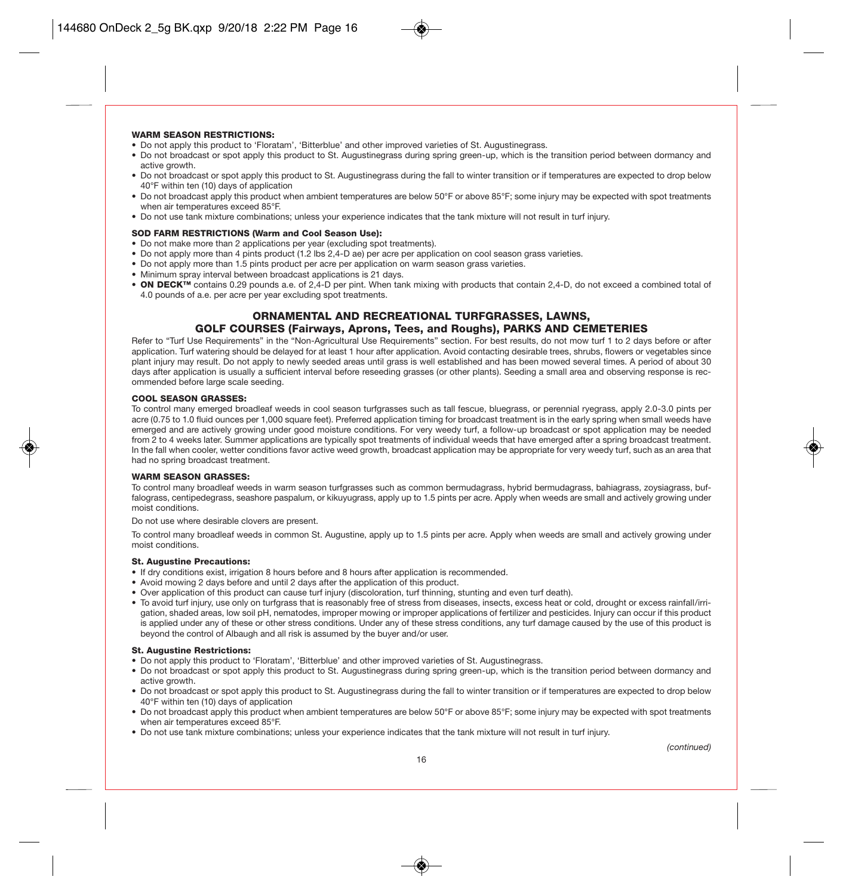### WARM SEASON RESTRICTIONS:

- Do not apply this product to 'Floratam', 'Bitterblue' and other improved varieties of St. Augustinegrass.
- Do not broadcast or spot apply this product to St. Augustinegrass during spring green-up, which is the transition period between dormancy and active growth.
- Do not broadcast or spot apply this product to St. Augustinegrass during the fall to winter transition or if temperatures are expected to drop below 40°F within ten (10) days of application
- Do not broadcast apply this product when ambient temperatures are below 50°F or above 85°F; some injury may be expected with spot treatments when air temperatures exceed 85°F.
- Do not use tank mixture combinations; unless your experience indicates that the tank mixture will not result in turf injury.

#### SOD FARM RESTRICTIONS (Warm and Cool Season Use):

- Do not make more than 2 applications per year (excluding spot treatments).
- Do not apply more than 4 pints product (1.2 lbs 2,4-D ae) per acre per application on cool season grass varieties.
- Do not apply more than 1.5 pints product per acre per application on warm season grass varieties.
- Minimum spray interval between broadcast applications is 21 days.
- ON DECK<sup>™</sup> contains 0.29 pounds a.e. of 2,4-D per pint. When tank mixing with products that contain 2,4-D, do not exceed a combined total of 4.0 pounds of a.e. per acre per year excluding spot treatments.

### ORNAMENTAL AND RECREATIONAL TURFGRASSES, LAWNS, GOLF COURSES (Fairways, Aprons, Tees, and Roughs), PARKS AND CEMETERIES

Refer to "Turf Use Requirements" in the "Non-Agricultural Use Requirements" section. For best results, do not mow turf 1 to 2 days before or after application. Turf watering should be delayed for at least 1 hour after application. Avoid contacting desirable trees, shrubs, flowers or vegetables since plant injury may result. Do not apply to newly seeded areas until grass is well established and has been mowed several times. A period of about 30 days after application is usually a sufficient interval before reseeding grasses (or other plants). Seeding a small area and observing response is recommended before large scale seeding.

### COOL SEASON GRASSES:

To control many emerged broadleaf weeds in cool season turfgrasses such as tall fescue, bluegrass, or perennial ryegrass, apply 2.0-3.0 pints per acre (0.75 to 1.0 fluid ounces per 1,000 square feet). Preferred application timing for broadcast treatment is in the early spring when small weeds have emerged and are actively growing under good moisture conditions. For very weedy turf, a follow-up broadcast or spot application may be needed from 2 to 4 weeks later. Summer applications are typically spot treatments of individual weeds that have emerged after a spring broadcast treatment. In the fall when cooler, wetter conditions favor active weed growth, broadcast application may be appropriate for very weedy turf, such as an area that had no spring broadcast treatment.

### WARM SEASON GRASSES:

To control many broadleaf weeds in warm season turfgrasses such as common bermudagrass, hybrid bermudagrass, bahiagrass, zoysiagrass, buffalograss, centipedegrass, seashore paspalum, or kikuyugrass, apply up to 1.5 pints per acre. Apply when weeds are small and actively growing under moist conditions.

Do not use where desirable clovers are present.

To control many broadleaf weeds in common St. Augustine, apply up to 1.5 pints per acre. Apply when weeds are small and actively growing under moist conditions.

#### St. Augustine Precautions:

- If dry conditions exist, irrigation 8 hours before and 8 hours after application is recommended.
- Avoid mowing 2 days before and until 2 days after the application of this product.
- Over application of this product can cause turf injury (discoloration, turf thinning, stunting and even turf death).
- To avoid turf injury, use only on turfgrass that is reasonably free of stress from diseases, insects, excess heat or cold, drought or excess rainfall/irrigation, shaded areas, low soil pH, nematodes, improper mowing or improper applications of fertilizer and pesticides. Injury can occur if this product is applied under any of these or other stress conditions. Under any of these stress conditions, any turf damage caused by the use of this product is beyond the control of Albaugh and all risk is assumed by the buyer and/or user.

#### St. Augustine Restrictions:

- Do not apply this product to 'Floratam', 'Bitterblue' and other improved varieties of St. Augustinegrass.
- Do not broadcast or spot apply this product to St. Augustinegrass during spring green-up, which is the transition period between dormancy and active growth.
- Do not broadcast or spot apply this product to St. Augustinegrass during the fall to winter transition or if temperatures are expected to drop below 40°F within ten (10) days of application
- Do not broadcast apply this product when ambient temperatures are below 50°F or above 85°F; some injury may be expected with spot treatments when air temperatures exceed 85°F.
- Do not use tank mixture combinations; unless your experience indicates that the tank mixture will not result in turf injury.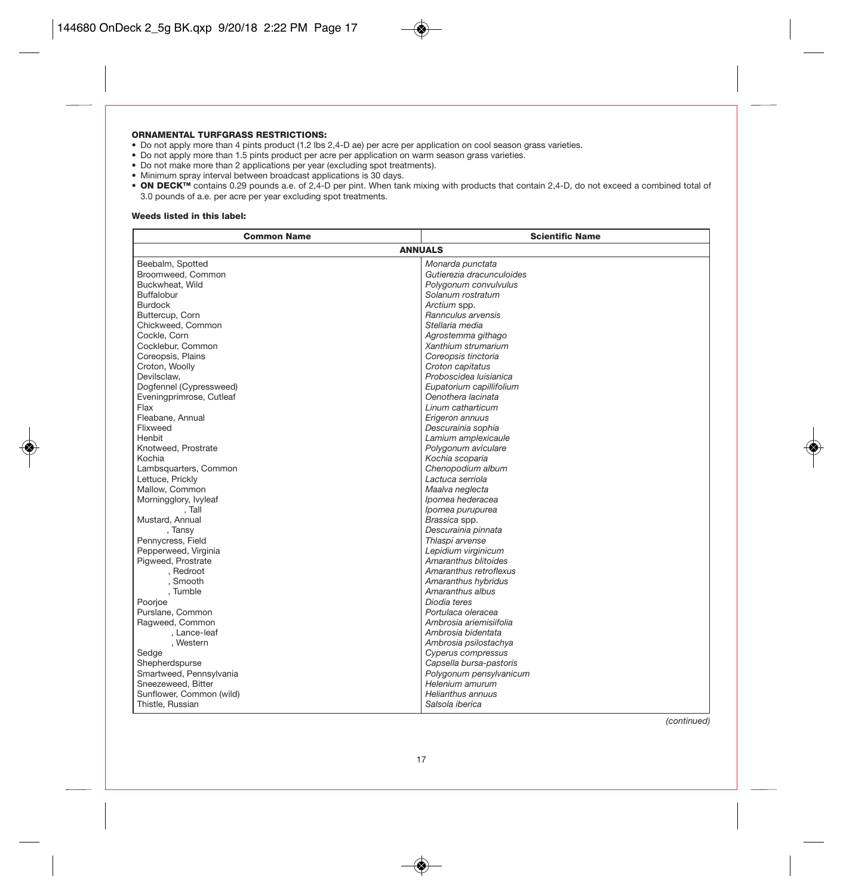### ORNAMENTAL TURFGRASS RESTRICTIONS:

- Do not apply more than 4 pints product (1.2 lbs 2,4-D ae) per acre per application on cool season grass varieties.
- Do not apply more than 1.5 pints product per acre per application on warm season grass varieties.
- Do not make more than 2 applications per year (excluding spot treatments).
- Minimum spray interval between broadcast applications is 30 days.
- ON DECK<sup>™</sup> contains 0.29 pounds a.e. of 2,4-D per pint. When tank mixing with products that contain 2,4-D, do not exceed a combined total of 3.0 pounds of a.e. per acre per year excluding spot treatments.

#### Weeds listed in this label:

| <b>Common Name</b>       | <b>Scientific Name</b>    |  |  |  |
|--------------------------|---------------------------|--|--|--|
| <b>ANNUALS</b>           |                           |  |  |  |
| Beebalm, Spotted         | Monarda punctata          |  |  |  |
| Broomweed, Common        | Gutierezia dracunculoides |  |  |  |
| Buckwheat, Wild          | Polygonum convulvulus     |  |  |  |
| Buffalobur               | Solanum rostratum         |  |  |  |
| <b>Burdock</b>           | Arctium spp.              |  |  |  |
| Buttercup, Corn          | Rannculus arvensis        |  |  |  |
| Chickweed, Common        | Stellaria media           |  |  |  |
| Cockle, Corn             | Agrostemma githago        |  |  |  |
| Cocklebur, Common        | Xanthium strumarium       |  |  |  |
| Coreopsis, Plains        | Coreopsis tinctoria       |  |  |  |
| Croton, Woolly           | Croton capitatus          |  |  |  |
| Devilsclaw.              | Proboscidea Iuisianica    |  |  |  |
| Dogfennel (Cypressweed)  | Eupatorium capillifolium  |  |  |  |
| Eveningprimrose, Cutleaf | Oenothera lacinata        |  |  |  |
| Flax                     | Linum catharticum         |  |  |  |
| Fleabane, Annual         | Erigeron annuus           |  |  |  |
| Flixweed                 | Descurainia sophia        |  |  |  |
| Henbit                   | Lamium amplexicaule       |  |  |  |
| Knotweed, Prostrate      | Polygonum aviculare       |  |  |  |
| Kochia                   | Kochia scoparia           |  |  |  |
| Lambsquarters, Common    | Chenopodium album         |  |  |  |
| Lettuce, Prickly         | Lactuca serriola          |  |  |  |
| Mallow, Common           | Maalva neglecta           |  |  |  |
| Morningglory, Ivyleaf    | Ipomea hederacea          |  |  |  |
| , Tall                   | Ipomea purupurea          |  |  |  |
| Mustard, Annual          | Brassica spp.             |  |  |  |
| , Tansy                  | Descurainia pinnata       |  |  |  |
| Pennycress, Field        | Thlaspi arvense           |  |  |  |
| Pepperweed, Virginia     | Lepidium virginicum       |  |  |  |
| Pigweed, Prostrate       | Amaranthus blitoides      |  |  |  |
| , Redroot                | Amaranthus retroflexus    |  |  |  |
| , Smooth                 | Amaranthus hybridus       |  |  |  |
| , Tumble                 | Amaranthus albus          |  |  |  |
| Poorjoe                  | Diodia teres              |  |  |  |
| Purslane, Common         | Portulaca oleracea        |  |  |  |
| Ragweed, Common          | Ambrosia ariemisiifolia   |  |  |  |
| , Lance-leaf             | Ambrosia bidentata        |  |  |  |
| , Western                | Ambrosia psilostachya     |  |  |  |
| Sedae                    | Cyperus compressus        |  |  |  |
| Shepherdspurse           | Capsella bursa-pastoris   |  |  |  |
| Smartweed, Pennsylvania  | Polygonum pensylvanicum   |  |  |  |
| Sneezeweed, Bitter       | Helenium amurum           |  |  |  |
| Sunflower, Common (wild) | Helianthus annuus         |  |  |  |
| Thistle, Russian         | Salsola iberica           |  |  |  |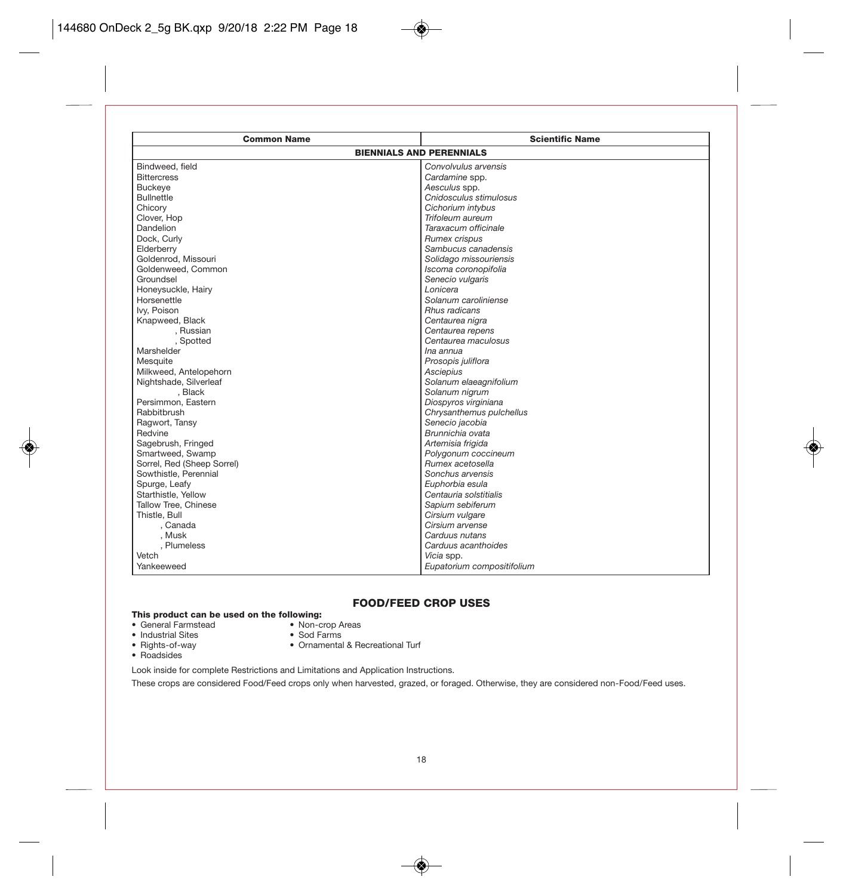| <b>Common Name</b>              | <b>Scientific Name</b>     |  |  |  |
|---------------------------------|----------------------------|--|--|--|
| <b>BIENNIALS AND PERENNIALS</b> |                            |  |  |  |
| Bindweed, field                 | Convolvulus arvensis       |  |  |  |
| <b>Bittercress</b>              | Cardamine spp.             |  |  |  |
| <b>Buckeye</b>                  | Aesculus spp.              |  |  |  |
| <b>Bullnettle</b>               | Cnidosculus stimulosus     |  |  |  |
| Chicory                         | Cichorium intybus          |  |  |  |
| Clover, Hop                     | Trifoleum aureum           |  |  |  |
| Dandelion                       | Taraxacum officinale       |  |  |  |
| Dock, Curly                     | Rumex crispus              |  |  |  |
| Elderberry                      | Sambucus canadensis        |  |  |  |
| Goldenrod, Missouri             | Solidago missouriensis     |  |  |  |
| Goldenweed, Common              | Iscoma coronopifolia       |  |  |  |
| Groundsel                       | Senecio vulgaris           |  |  |  |
| Honeysuckle, Hairy              | Lonicera                   |  |  |  |
| Horsenettle                     | Solanum caroliniense       |  |  |  |
| Ivv. Poison                     | Rhus radicans              |  |  |  |
| Knapweed, Black                 | Centaurea nigra            |  |  |  |
| . Russian                       | Centaurea repens           |  |  |  |
| , Spotted                       | Centaurea maculosus        |  |  |  |
| Marshelder                      | Ina annua                  |  |  |  |
| Mesquite                        | Prosopis juliflora         |  |  |  |
| Milkweed, Antelopehorn          | Asciepius                  |  |  |  |
| Nightshade, Silverleaf          | Solanum elaeagnifolium     |  |  |  |
| . Black                         | Solanum nigrum             |  |  |  |
| Persimmon, Eastern              | Diospyros virginiana       |  |  |  |
| Rabbitbrush                     | Chrysanthemus pulchellus   |  |  |  |
| Ragwort, Tansy                  | Senecio jacobia            |  |  |  |
| Redvine                         | Brunnichia ovata           |  |  |  |
| Sagebrush, Fringed              | Artemisia frigida          |  |  |  |
| Smartweed, Swamp                | Polygonum coccineum        |  |  |  |
| Sorrel, Red (Sheep Sorrel)      | Rumex acetosella           |  |  |  |
| Sowthistle, Perennial           | Sonchus arvensis           |  |  |  |
| Spurge, Leafy                   | Euphorbia esula            |  |  |  |
| Starthistle, Yellow             | Centauria solstitialis     |  |  |  |
| Tallow Tree, Chinese            | Sapium sebiferum           |  |  |  |
| Thistle, Bull                   | Cirsium vulgare            |  |  |  |
| . Canada                        | Cirsium arvense            |  |  |  |
| , Musk                          | Carduus nutans             |  |  |  |
| , Plumeless                     | Carduus acanthoides        |  |  |  |
| Vetch                           | Vicia spp.                 |  |  |  |
| Yankeeweed                      | Eupatorium compositifolium |  |  |  |

### FOOD/FEED CROP USES

# This product can be used on the following:<br>• General Farmstead • Non-crop Areas

• General Farmstead • Non-crop A<br>• Industrial Sites • Sod Farms

- Industrial Sites
- Ornamental & Recreational Turf
- Rights-of-way<br>• Roadsides
- 

Look inside for complete Restrictions and Limitations and Application Instructions.

These crops are considered Food/Feed crops only when harvested, grazed, or foraged. Otherwise, they are considered non-Food/Feed uses.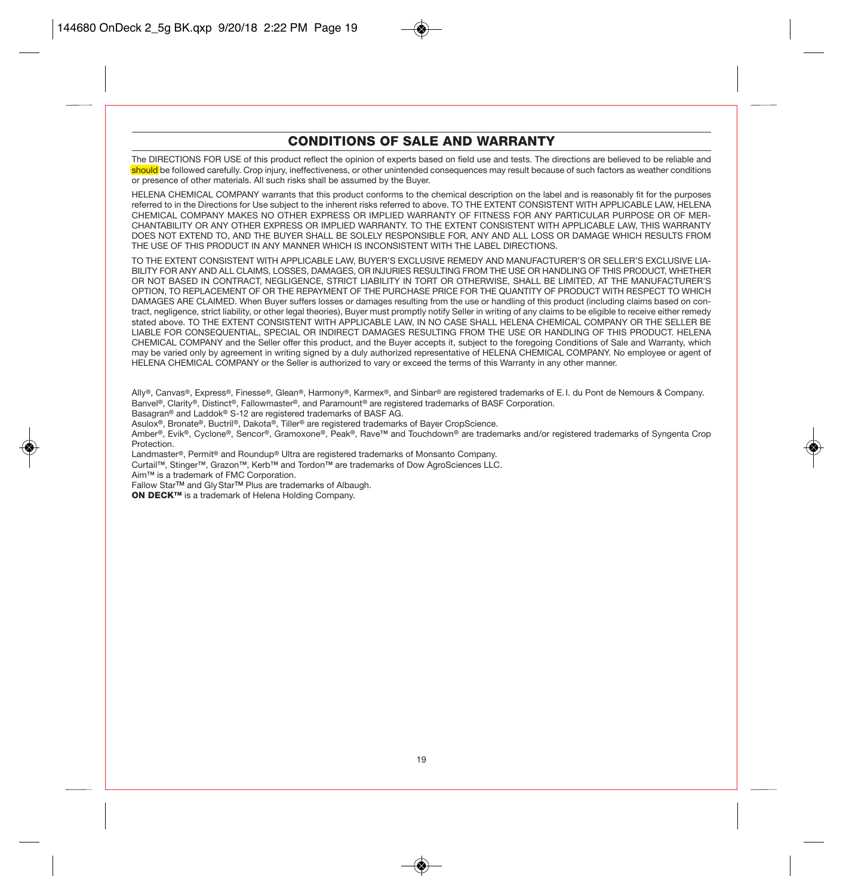### CONDITIONS OF SALE AND WARRANTY

The DIRECTIONS FOR USE of this product reflect the opinion of experts based on field use and tests. The directions are believed to be reliable and should be followed carefully. Crop injury, ineffectiveness, or other unintended consequences may result because of such factors as weather conditions or presence of other materials. All such risks shall be assumed by the Buyer.

HELENA CHEMICAL COMPANY warrants that this product conforms to the chemical description on the label and is reasonably fit for the purposes referred to in the Directions for Use subject to the inherent risks referred to above. TO THE EXTENT CONSISTENT WITH APPLICABLE LAW, HELENA CHEMICAL COMPANY MAKES NO OTHER EXPRESS OR IMPLIED WARRANTY OF FITNESS FOR ANY PARTICULAR PURPOSE OR OF MER-CHANTABILITY OR ANY OTHER EXPRESS OR IMPLIED WARRANTY. TO THE EXTENT CONSISTENT WITH APPLICABLE LAW, THIS WARRANTY DOES NOT EXTEND TO, AND THE BUYER SHALL BE SOLELY RESPONSIBLE FOR, ANY AND ALL LOSS OR DAMAGE WHICH RESULTS FROM THE USE OF THIS PRODUCT IN ANY MANNER WHICH IS INCONSISTENT WITH THE LABEL DIRECTIONS.

TO THE EXTENT CONSISTENT WITH APPLICABLE LAW, BUYER'S EXCLUSIVE REMEDY AND MANUFACTURER'S OR SELLER'S EXCLUSIVE LIA-BILITY FOR ANY AND ALL CLAIMS, LOSSES, DAMAGES, OR INJURIES RESULTING FROM THE USE OR HANDLING OF THIS PRODUCT, WHETHER OR NOT BASED IN CONTRACT, NEGLIGENCE, STRICT LIABILITY IN TORT OR OTHERWISE, SHALL BE LIMITED, AT THE MANUFACTURER'S OPTION, TO REPLACEMENT OF OR THE REPAYMENT OF THE PURCHASE PRICE FOR THE QUANTITY OF PRODUCT WITH RESPECT TO WHICH DAMAGES ARE CLAIMED. When Buyer suffers losses or damages resulting from the use or handling of this product (including claims based on contract, negligence, strict liability, or other legal theories), Buyer must promptly notify Seller in writing of any claims to be eligible to receive either remedy stated above. TO THE EXTENT CONSISTENT WITH APPLICABLE LAW, IN NO CASE SHALL HELENA CHEMICAL COMPANY OR THE SELLER BE LIABLE FOR CONSEQUENTIAL, SPECIAL OR INDIRECT DAMAGES RESULTING FROM THE USE OR HANDLING OF THIS PRODUCT. HELENA CHEMICAL COMPANY and the Seller offer this product, and the Buyer accepts it, subject to the foregoing Conditions of Sale and Warranty, which may be varied only by agreement in writing signed by a duly authorized representative of HELENA CHEMICAL COMPANY. No employee or agent of HELENA CHEMICAL COMPANY or the Seller is authorized to vary or exceed the terms of this Warranty in any other manner.

Ally®, Canvas®, Express®, Finesse®, Glean®, Harmony®, Karmex®, and Sinbar® are registered trademarks of E.I. du Pont de Nemours & Company. Banvel®, Clarity®, Distinct®, Fallowmaster®, and Paramount® are registered trademarks of BASF Corporation.

Basagran® and Laddok® S-12 are registered trademarks of BASF AG.

Asulox®, Bronate®, Buctril®, Dakota®, Tiller® are registered trademarks of Bayer CropScience.

Amber®, Evik®, Cyclone®, Sencor®, Gramoxone®, Peak®, Rave™ and Touchdown® are trademarks and/or registered trademarks of Syngenta Crop Protection.

Landmaster®, Permit® and Roundup® Ultra are registered trademarks of Monsanto Company.

Curtail™, Stinger™, Grazon™, Kerb™ and Tordon™ are trademarks of Dow AgroSciences LLC.

Aim™ is a trademark of FMC Corporation.

Fallow StarTM and GlyStarTM Plus are trademarks of Albaugh.

ON DECK™ is a trademark of Helena Holding Company.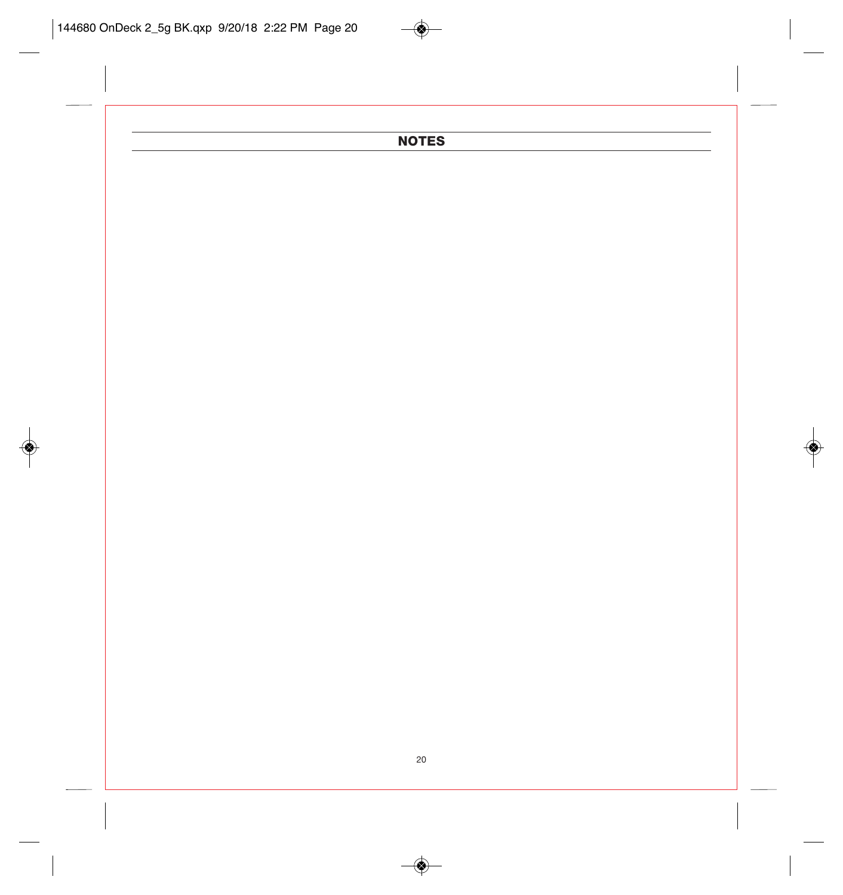## **NOTES**